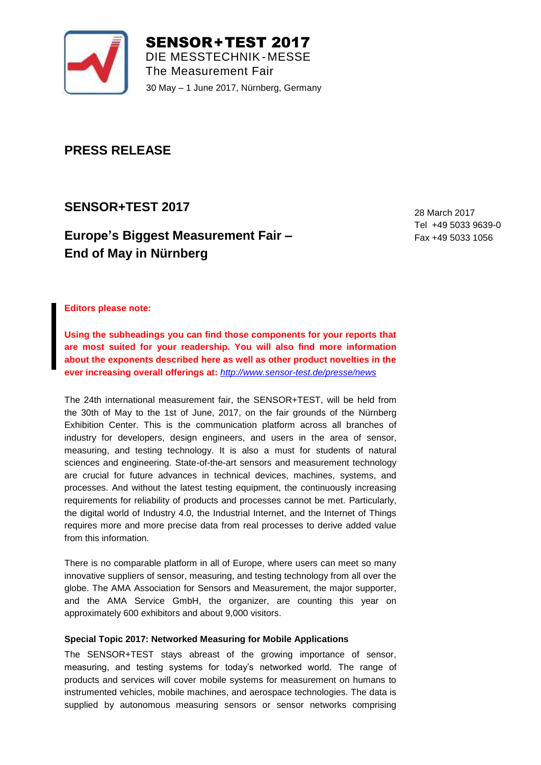

SENSOR+TEST 2017 DIE MESSTECHNIK- MESSE The Measurement Fair 30 May – 1 June 2017, Nürnberg, Germany

# **PRESS RELEASE**

#### **SENSOR+TEST 2017**  $26.2017$

# **Europe's Biggest Measurement Fair -End of May in Nürnberg** 26. – 28.5.2009, Nürnberg, Germany

28 March 2017 Tel +49 5033 9639-0 Fax +49 5033 1056

**Editors please note:**

**Using the subheadings you can find those components for your reports that are most suited for your readership. You will also find more information about the exponents described here as well as other product novelties in the ever increasing overall offerings at:** *<http://www.sensor-test.de/presse/news>*

The 24th international measurement fair, the SENSOR+TEST, will be held from the 30th of May to the 1st of June, 2017, on the fair grounds of the Nürnberg Exhibition Center. This is the communication platform across all branches of industry for developers, design engineers, and users in the area of sensor, measuring, and testing technology. It is also a must for students of natural sciences and engineering. State-of-the-art sensors and measurement technology are crucial for future advances in technical devices, machines, systems, and processes. And without the latest testing equipment, the continuously increasing requirements for reliability of products and processes cannot be met. Particularly, the digital world of Industry 4.0, the Industrial Internet, and the Internet of Things requires more and more precise data from real processes to derive added value from this information.

There is no comparable platform in all of Europe, where users can meet so many innovative suppliers of sensor, measuring, and testing technology from all over the globe. The AMA Association for Sensors and Measurement, the major supporter, and the AMA Service GmbH, the organizer, are counting this year on approximately 600 exhibitors and about 9,000 visitors.

# **Special Topic 2017: Networked Measuring for Mobile Applications**

The SENSOR+TEST stays abreast of the growing importance of sensor, measuring, and testing systems for today's networked world. The range of products and services will cover mobile systems for measurement on humans to instrumented vehicles, mobile machines, and aerospace technologies. The data is supplied by autonomous measuring sensors or sensor networks comprising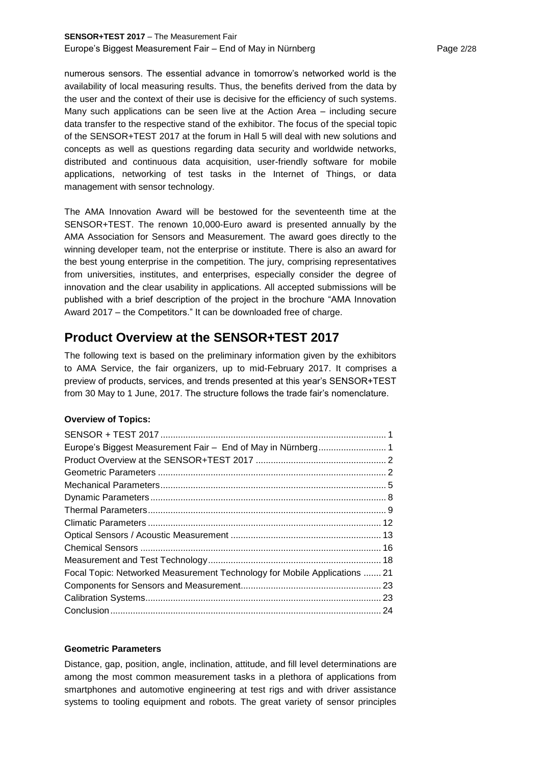numerous sensors. The essential advance in tomorrow's networked world is the availability of local measuring results. Thus, the benefits derived from the data by the user and the context of their use is decisive for the efficiency of such systems. Many such applications can be seen live at the Action Area – including secure data transfer to the respective stand of the exhibitor. The focus of the special topic of the SENSOR+TEST 2017 at the forum in Hall 5 will deal with new solutions and concepts as well as questions regarding data security and worldwide networks, distributed and continuous data acquisition, user-friendly software for mobile applications, networking of test tasks in the Internet of Things, or data management with sensor technology.

The AMA Innovation Award will be bestowed for the seventeenth time at the SENSOR+TEST. The renown 10,000-Euro award is presented annually by the AMA Association for Sensors and Measurement. The award goes directly to the winning developer team, not the enterprise or institute. There is also an award for the best young enterprise in the competition. The jury, comprising representatives from universities, institutes, and enterprises, especially consider the degree of innovation and the clear usability in applications. All accepted submissions will be published with a brief description of the project in the brochure "AMA Innovation Award 2017 – the Competitors." It can be downloaded free of charge.

# **Product Overview at the SENSOR+TEST 2017**

The following text is based on the preliminary information given by the exhibitors to AMA Service, the fair organizers, up to mid-February 2017. It comprises a preview of products, services, and trends presented at this year's SENSOR+TEST from 30 May to 1 June, 2017. The structure follows the trade fair's nomenclature.

# **Overview of Topics:**

| Focal Topic: Networked Measurement Technology for Mobile Applications  21 |  |
|---------------------------------------------------------------------------|--|
|                                                                           |  |
|                                                                           |  |
|                                                                           |  |
|                                                                           |  |

# **Geometric Parameters**

Distance, gap, position, angle, inclination, attitude, and fill level determinations are among the most common measurement tasks in a plethora of applications from smartphones and automotive engineering at test rigs and with driver assistance systems to tooling equipment and robots. The great variety of sensor principles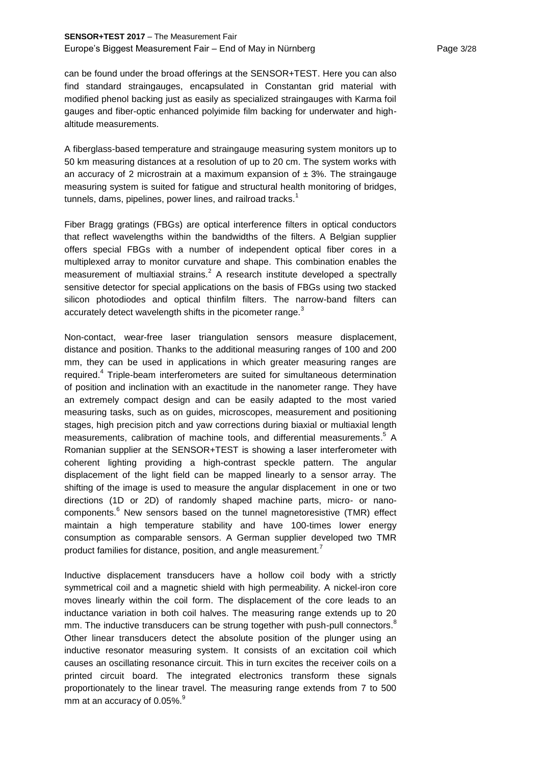# **SENSOR+TEST 2017** – The Measurement Fair Europe's Biggest Measurement Fair – End of May in Nürnberg Page 3/28

can be found under the broad offerings at the SENSOR+TEST. Here you can also find standard straingauges, encapsulated in Constantan grid material with modified phenol backing just as easily as specialized straingauges with Karma foil gauges and fiber-optic enhanced polyimide film backing for underwater and highaltitude measurements.

A fiberglass-based temperature and straingauge measuring system monitors up to 50 km measuring distances at a resolution of up to 20 cm. The system works with an accuracy of 2 microstrain at a maximum expansion of  $\pm$  3%. The straingauge measuring system is suited for fatigue and structural health monitoring of bridges, tunnels, dams, pipelines, power lines, and railroad tracks. $<sup>1</sup>$ </sup>

Fiber Bragg gratings (FBGs) are optical interference filters in optical conductors that reflect wavelengths within the bandwidths of the filters. A Belgian supplier offers special FBGs with a number of independent optical fiber cores in a multiplexed array to monitor curvature and shape. This combination enables the measurement of multiaxial strains.<sup>2</sup> A research institute developed a spectrally sensitive detector for special applications on the basis of FBGs using two stacked silicon photodiodes and optical thinfilm filters. The narrow-band filters can accurately detect wavelength shifts in the picometer range.<sup>3</sup>

Non-contact, wear-free laser triangulation sensors measure displacement, distance and position. Thanks to the additional measuring ranges of 100 and 200 mm, they can be used in applications in which greater measuring ranges are required.<sup>4</sup> Triple-beam interferometers are suited for simultaneous determination of position and inclination with an exactitude in the nanometer range. They have an extremely compact design and can be easily adapted to the most varied measuring tasks, such as on guides, microscopes, measurement and positioning stages, high precision pitch and yaw corrections during biaxial or multiaxial length measurements, calibration of machine tools, and differential measurements.<sup>5</sup> A Romanian supplier at the SENSOR+TEST is showing a laser interferometer with coherent lighting providing a high-contrast speckle pattern. The angular displacement of the light field can be mapped linearly to a sensor array. The shifting of the image is used to measure the angular displacement in one or two directions (1D or 2D) of randomly shaped machine parts, micro- or nanocomponents.<sup>6</sup> New sensors based on the tunnel magnetoresistive (TMR) effect maintain a high temperature stability and have 100-times lower energy consumption as comparable sensors. A German supplier developed two TMR product families for distance, position, and angle measurement.

Inductive displacement transducers have a hollow coil body with a strictly symmetrical coil and a magnetic shield with high permeability. A nickel-iron core moves linearly within the coil form. The displacement of the core leads to an inductance variation in both coil halves. The measuring range extends up to 20 mm. The inductive transducers can be strung together with push-pull connectors.<sup>8</sup> Other linear transducers detect the absolute position of the plunger using an inductive resonator measuring system. It consists of an excitation coil which causes an oscillating resonance circuit. This in turn excites the receiver coils on a printed circuit board. The integrated electronics transform these signals proportionately to the linear travel. The measuring range extends from 7 to 500 mm at an accuracy of 0.05%. $^{\rm 9}$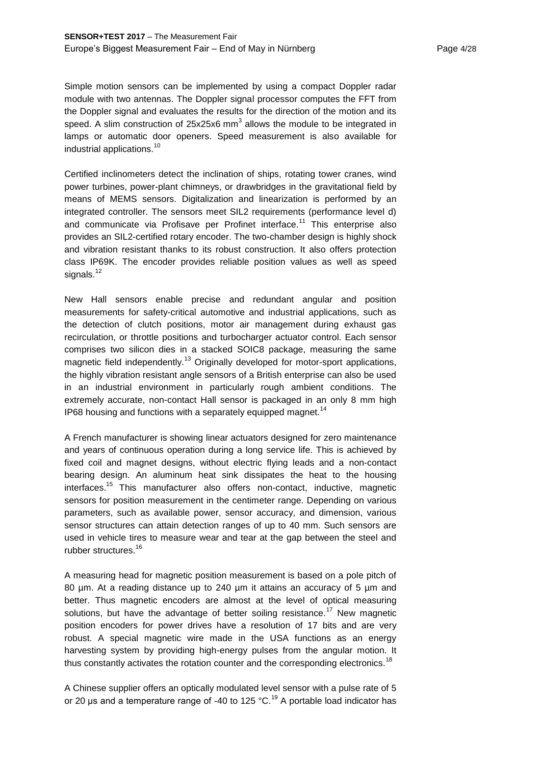Simple motion sensors can be implemented by using a compact Doppler radar module with two antennas. The Doppler signal processor computes the FFT from the Doppler signal and evaluates the results for the direction of the motion and its speed. A slim construction of 25x25x6 mm<sup>3</sup> allows the module to be integrated in lamps or automatic door openers. Speed measurement is also available for industrial applications.<sup>10</sup>

Certified inclinometers detect the inclination of ships, rotating tower cranes, wind power turbines, power-plant chimneys, or drawbridges in the gravitational field by means of MEMS sensors. Digitalization and linearization is performed by an integrated controller. The sensors meet SIL2 requirements (performance level d) and communicate via Profisave per Profinet interface.<sup>11</sup> This enterprise also provides an SIL2-certified rotary encoder. The two-chamber design is highly shock and vibration resistant thanks to its robust construction. It also offers protection class IP69K. The encoder provides reliable position values as well as speed signals. $12$ 

New Hall sensors enable precise and redundant angular and position measurements for safety-critical automotive and industrial applications, such as the detection of clutch positions, motor air management during exhaust gas recirculation, or throttle positions and turbocharger actuator control. Each sensor comprises two silicon dies in a stacked SOIC8 package, measuring the same magnetic field independently.<sup>13</sup> Originally developed for motor-sport applications, the highly vibration resistant angle sensors of a British enterprise can also be used in an industrial environment in particularly rough ambient conditions. The extremely accurate, non-contact Hall sensor is packaged in an only 8 mm high IP68 housing and functions with a separately equipped magnet.<sup>14</sup>

A French manufacturer is showing linear actuators designed for zero maintenance and years of continuous operation during a long service life. This is achieved by fixed coil and magnet designs, without electric flying leads and a non-contact bearing design. An aluminum heat sink dissipates the heat to the housing interfaces.<sup>15</sup> This manufacturer also offers non-contact, inductive, magnetic sensors for position measurement in the centimeter range. Depending on various parameters, such as available power, sensor accuracy, and dimension, various sensor structures can attain detection ranges of up to 40 mm. Such sensors are used in vehicle tires to measure wear and tear at the gap between the steel and rubber structures.<sup>16</sup>

A measuring head for magnetic position measurement is based on a pole pitch of 80 um. At a reading distance up to 240 um it attains an accuracy of 5 um and better. Thus magnetic encoders are almost at the level of optical measuring solutions, but have the advantage of better soiling resistance.<sup>17</sup> New magnetic position encoders for power drives have a resolution of 17 bits and are very robust. A special magnetic wire made in the USA functions as an energy harvesting system by providing high-energy pulses from the angular motion. It thus constantly activates the rotation counter and the corresponding electronics.<sup>18</sup>

A Chinese supplier offers an optically modulated level sensor with a pulse rate of 5 or 20 µs and a temperature range of -40 to 125  $^{\circ}$ C.<sup>19</sup> A portable load indicator has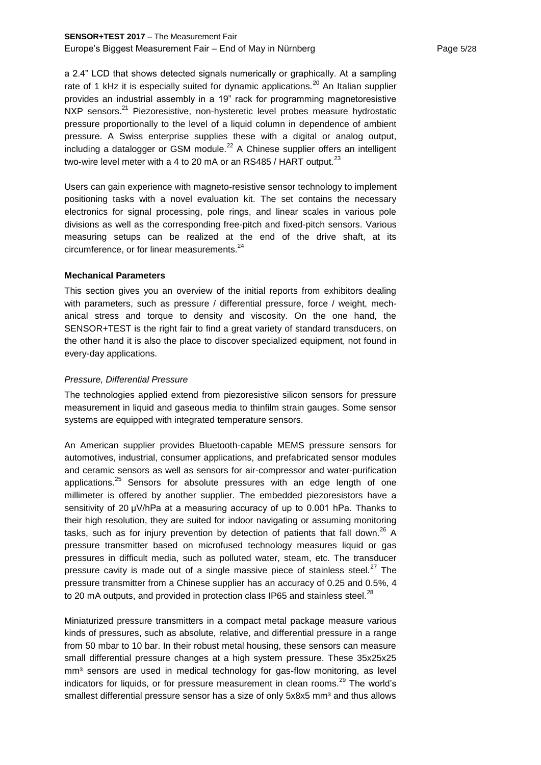# **SENSOR+TEST 2017** – The Measurement Fair Europe's Biggest Measurement Fair – End of May in Nürnberg Page 19728

a 2.4" LCD that shows detected signals numerically or graphically. At a sampling rate of 1 kHz it is especially suited for dynamic applications.<sup>20</sup> An Italian supplier provides an industrial assembly in a 19" rack for programming magnetoresistive NXP sensors.<sup>21</sup> Piezoresistive, non-hysteretic level probes measure hydrostatic pressure proportionally to the level of a liquid column in dependence of ambient pressure. A Swiss enterprise supplies these with a digital or analog output, including a datalogger or GSM module.<sup>22</sup> A Chinese supplier offers an intelligent two-wire level meter with a 4 to 20 mA or an RS485 / HART output.<sup>23</sup>

Users can gain experience with magneto-resistive sensor technology to implement positioning tasks with a novel evaluation kit. The set contains the necessary electronics for signal processing, pole rings, and linear scales in various pole divisions as well as the corresponding free-pitch and fixed-pitch sensors. Various measuring setups can be realized at the end of the drive shaft, at its circumference, or for linear measurements.<sup>24</sup>

## **Mechanical Parameters**

This section gives you an overview of the initial reports from exhibitors dealing with parameters, such as pressure / differential pressure, force / weight, mechanical stress and torque to density and viscosity. On the one hand, the SENSOR+TEST is the right fair to find a great variety of standard transducers, on the other hand it is also the place to discover specialized equipment, not found in every-day applications.

## *Pressure, Differential Pressure*

The technologies applied extend from piezoresistive silicon sensors for pressure measurement in liquid and gaseous media to thinfilm strain gauges. Some sensor systems are equipped with integrated temperature sensors.

An American supplier provides Bluetooth-capable MEMS pressure sensors for automotives, industrial, consumer applications, and prefabricated sensor modules and ceramic sensors as well as sensors for air-compressor and water-purification applications.<sup>25</sup> Sensors for absolute pressures with an edge length of one millimeter is offered by another supplier. The embedded piezoresistors have a sensitivity of 20 μV/hPa at a measuring accuracy of up to 0.001 hPa. Thanks to their high resolution, they are suited for indoor navigating or assuming monitoring tasks, such as for injury prevention by detection of patients that fall down.<sup>26</sup> A pressure transmitter based on microfused technology measures liquid or gas pressures in difficult media, such as polluted water, steam, etc. The transducer pressure cavity is made out of a single massive piece of stainless steel. $27$  The pressure transmitter from a Chinese supplier has an accuracy of 0.25 and 0.5%, 4 to 20 mA outputs, and provided in protection class IP65 and stainless steel. $^{28}$ 

Miniaturized pressure transmitters in a compact metal package measure various kinds of pressures, such as absolute, relative, and differential pressure in a range from 50 mbar to 10 bar. In their robust metal housing, these sensors can measure small differential pressure changes at a high system pressure. These 35x25x25 mm<sup>3</sup> sensors are used in medical technology for gas-flow monitoring, as level indicators for liquids, or for pressure measurement in clean rooms.<sup>29</sup> The world's smallest differential pressure sensor has a size of only 5x8x5 mm<sup>3</sup> and thus allows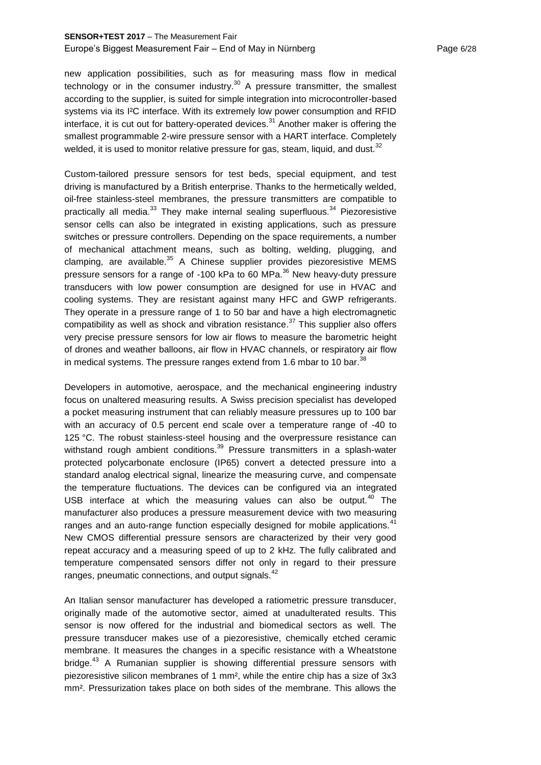## **SENSOR+TEST 2017** – The Measurement Fair Europe's Biggest Measurement Fair – End of May in Nürnberg Page 6/28

new application possibilities, such as for measuring mass flow in medical technology or in the consumer industry.<sup>30</sup> A pressure transmitter, the smallest according to the supplier, is suited for simple integration into microcontroller-based systems via its I<sup>2</sup>C interface. With its extremely low power consumption and RFID interface, it is cut out for battery-operated devices. $31$  Another maker is offering the smallest programmable 2-wire pressure sensor with a HART interface. Completely welded, it is used to monitor relative pressure for gas, steam, liquid, and dust. $32$ 

Custom-tailored pressure sensors for test beds, special equipment, and test driving is manufactured by a British enterprise. Thanks to the hermetically welded, oil-free stainless-steel membranes, the pressure transmitters are compatible to practically all media. $33$  They make internal sealing superfluous. $34$  Piezoresistive sensor cells can also be integrated in existing applications, such as pressure switches or pressure controllers. Depending on the space requirements, a number of mechanical attachment means, such as bolting, welding, plugging, and clamping, are available. $35$  A Chinese supplier provides piezoresistive MEMS pressure sensors for a range of -100 kPa to 60 MPa.<sup>36</sup> New heavy-duty pressure transducers with low power consumption are designed for use in HVAC and cooling systems. They are resistant against many HFC and GWP refrigerants. They operate in a pressure range of 1 to 50 bar and have a high electromagnetic compatibility as well as shock and vibration resistance.<sup>37</sup> This supplier also offers very precise pressure sensors for low air flows to measure the barometric height of drones and weather balloons, air flow in HVAC channels, or respiratory air flow in medical systems. The pressure ranges extend from 1.6 mbar to 10 bar.  $38$ 

Developers in automotive, aerospace, and the mechanical engineering industry focus on unaltered measuring results. A Swiss precision specialist has developed a pocket measuring instrument that can reliably measure pressures up to 100 bar with an accuracy of 0.5 percent end scale over a temperature range of -40 to 125 °C. The robust stainless-steel housing and the overpressure resistance can withstand rough ambient conditions.<sup>39</sup> Pressure transmitters in a splash-water protected polycarbonate enclosure (IP65) convert a detected pressure into a standard analog electrical signal, linearize the measuring curve, and compensate the temperature fluctuations. The devices can be configured via an integrated USB interface at which the measuring values can also be output. $40$  The manufacturer also produces a pressure measurement device with two measuring ranges and an auto-range function especially designed for mobile applications.<sup>41</sup> New CMOS differential pressure sensors are characterized by their very good repeat accuracy and a measuring speed of up to 2 kHz. The fully calibrated and temperature compensated sensors differ not only in regard to their pressure ranges, pneumatic connections, and output signals.<sup>42</sup>

An Italian sensor manufacturer has developed a ratiometric pressure transducer, originally made of the automotive sector, aimed at unadulterated results. This sensor is now offered for the industrial and biomedical sectors as well. The pressure transducer makes use of a piezoresistive, chemically etched ceramic membrane. It measures the changes in a specific resistance with a Wheatstone bridge.<sup>43</sup> A Rumanian supplier is showing differential pressure sensors with piezoresistive silicon membranes of 1 mm², while the entire chip has a size of 3x3 mm². Pressurization takes place on both sides of the membrane. This allows the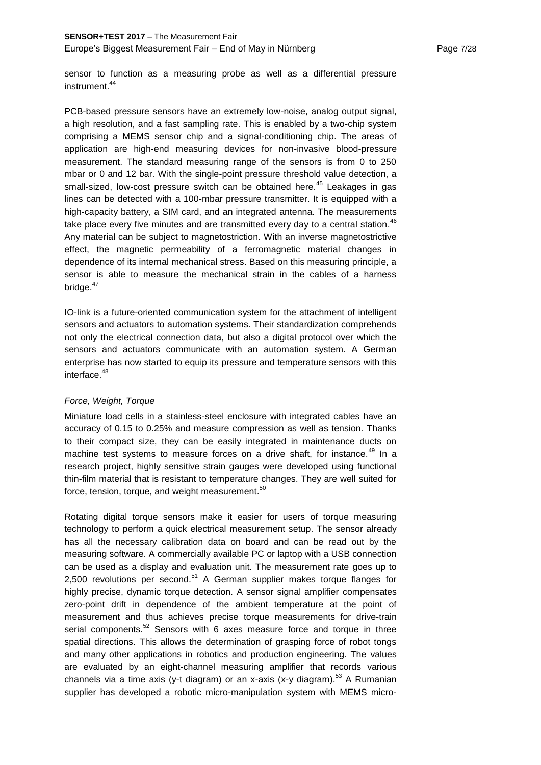sensor to function as a measuring probe as well as a differential pressure instrument.<sup>44</sup>

PCB-based pressure sensors have an extremely low-noise, analog output signal, a high resolution, and a fast sampling rate. This is enabled by a two-chip system comprising a MEMS sensor chip and a signal-conditioning chip. The areas of application are high-end measuring devices for non-invasive blood-pressure measurement. The standard measuring range of the sensors is from 0 to 250 mbar or 0 and 12 bar. With the single-point pressure threshold value detection, a small-sized, low-cost pressure switch can be obtained here.<sup>45</sup> Leakages in gas lines can be detected with a 100-mbar pressure transmitter. It is equipped with a high-capacity battery, a SIM card, and an integrated antenna. The measurements take place every five minutes and are transmitted every day to a central station.<sup>46</sup> Any material can be subject to magnetostriction. With an inverse magnetostrictive effect, the magnetic permeability of a ferromagnetic material changes in dependence of its internal mechanical stress. Based on this measuring principle, a sensor is able to measure the mechanical strain in the cables of a harness bridge. $47$ 

IO-link is a future-oriented communication system for the attachment of intelligent sensors and actuators to automation systems. Their standardization comprehends not only the electrical connection data, but also a digital protocol over which the sensors and actuators communicate with an automation system. A German enterprise has now started to equip its pressure and temperature sensors with this interface.<sup>48</sup>

# *Force, Weight, Torque*

Miniature load cells in a stainless-steel enclosure with integrated cables have an accuracy of 0.15 to 0.25% and measure compression as well as tension. Thanks to their compact size, they can be easily integrated in maintenance ducts on machine test systems to measure forces on a drive shaft, for instance.<sup>49</sup> In a research project, highly sensitive strain gauges were developed using functional thin-film material that is resistant to temperature changes. They are well suited for force, tension, torque, and weight measurement. $^{50}$ 

Rotating digital torque sensors make it easier for users of torque measuring technology to perform a quick electrical measurement setup. The sensor already has all the necessary calibration data on board and can be read out by the measuring software. A commercially available PC or laptop with a USB connection can be used as a display and evaluation unit. The measurement rate goes up to 2,500 revolutions per second.<sup>51</sup> A German supplier makes torque flanges for highly precise, dynamic torque detection. A sensor signal amplifier compensates zero-point drift in dependence of the ambient temperature at the point of measurement and thus achieves precise torque measurements for drive-train serial components.<sup>52</sup> Sensors with 6 axes measure force and torque in three spatial directions. This allows the determination of grasping force of robot tongs and many other applications in robotics and production engineering. The values are evaluated by an eight-channel measuring amplifier that records various channels via a time axis (y-t diagram) or an x-axis (x-y diagram).<sup>53</sup> A Rumanian supplier has developed a robotic micro-manipulation system with MEMS micro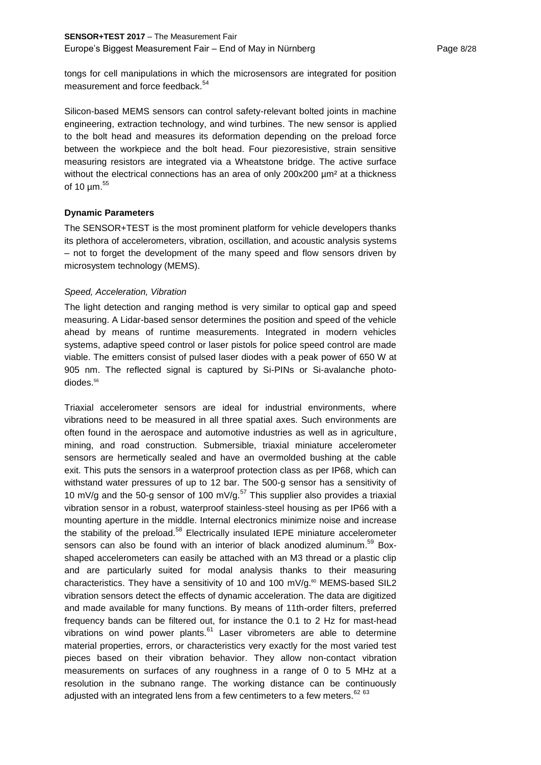tongs for cell manipulations in which the microsensors are integrated for position measurement and force feedback.<sup>54</sup>

Silicon-based MEMS sensors can control safety-relevant bolted joints in machine engineering, extraction technology, and wind turbines. The new sensor is applied to the bolt head and measures its deformation depending on the preload force between the workpiece and the bolt head. Four piezoresistive, strain sensitive measuring resistors are integrated via a Wheatstone bridge. The active surface without the electrical connections has an area of only 200x200  $\mu$ m<sup>2</sup> at a thickness of 10 µm.<sup>55</sup>

# **Dynamic Parameters**

The SENSOR+TEST is the most prominent platform for vehicle developers thanks its plethora of accelerometers, vibration, oscillation, and acoustic analysis systems – not to forget the development of the many speed and flow sensors driven by microsystem technology (MEMS).

#### *Speed, Acceleration, Vibration*

The light detection and ranging method is very similar to optical gap and speed measuring. A Lidar-based sensor determines the position and speed of the vehicle ahead by means of runtime measurements. Integrated in modern vehicles systems, adaptive speed control or laser pistols for police speed control are made viable. The emitters consist of pulsed laser diodes with a peak power of 650 W at 905 nm. The reflected signal is captured by Si-PINs or Si-avalanche photodiodes. 56

Triaxial accelerometer sensors are ideal for industrial environments, where vibrations need to be measured in all three spatial axes. Such environments are often found in the aerospace and automotive industries as well as in agriculture, mining, and road construction. Submersible, triaxial miniature accelerometer sensors are hermetically sealed and have an overmolded bushing at the cable exit. This puts the sensors in a waterproof protection class as per IP68, which can withstand water pressures of up to 12 bar. The 500-g sensor has a sensitivity of 10 mV/g and the 50-g sensor of 100 mV/g.<sup>57</sup> This supplier also provides a triaxial vibration sensor in a robust, waterproof stainless-steel housing as per IP66 with a mounting aperture in the middle. Internal electronics minimize noise and increase the stability of the preload.<sup>58</sup> Electrically insulated IEPE miniature accelerometer sensors can also be found with an interior of black anodized aluminum. $^{59}$  Boxshaped accelerometers can easily be attached with an M3 thread or a plastic clip and are particularly suited for modal analysis thanks to their measuring characteristics. They have a sensitivity of 10 and 100 mV/g. $\text{60}$  MEMS-based SIL2 vibration sensors detect the effects of dynamic acceleration. The data are digitized and made available for many functions. By means of 11th-order filters, preferred frequency bands can be filtered out, for instance the 0.1 to 2 Hz for mast-head vibrations on wind power plants.<sup>61</sup> Laser vibrometers are able to determine material properties, errors, or characteristics very exactly for the most varied test pieces based on their vibration behavior. They allow non-contact vibration measurements on surfaces of any roughness in a range of 0 to 5 MHz at a resolution in the subnano range. The working distance can be continuously adjusted with an integrated lens from a few centimeters to a few meters.  $6263$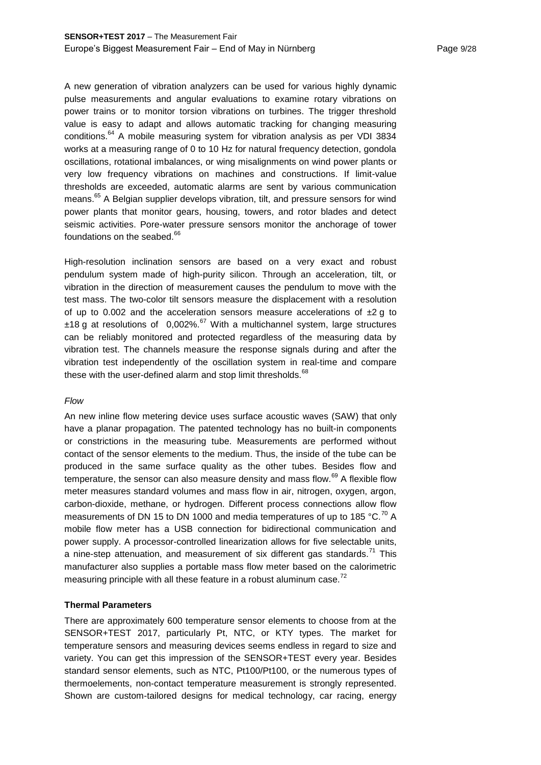A new generation of vibration analyzers can be used for various highly dynamic pulse measurements and angular evaluations to examine rotary vibrations on power trains or to monitor torsion vibrations on turbines. The trigger threshold value is easy to adapt and allows automatic tracking for changing measuring conditions.<sup>64</sup> A mobile measuring system for vibration analysis as per VDI 3834 works at a measuring range of 0 to 10 Hz for natural frequency detection, gondola oscillations, rotational imbalances, or wing misalignments on wind power plants or very low frequency vibrations on machines and constructions. If limit-value thresholds are exceeded, automatic alarms are sent by various communication means.<sup>65</sup> A Belgian supplier develops vibration, tilt, and pressure sensors for wind power plants that monitor gears, housing, towers, and rotor blades and detect seismic activities. Pore-water pressure sensors monitor the anchorage of tower foundations on the seabed.<sup>66</sup>

High-resolution inclination sensors are based on a very exact and robust pendulum system made of high-purity silicon. Through an acceleration, tilt, or vibration in the direction of measurement causes the pendulum to move with the test mass. The two-color tilt sensors measure the displacement with a resolution of up to 0.002 and the acceleration sensors measure accelerations of  $\pm 2$  g to  $±18$  g at resolutions of 0,002%.<sup>67</sup> With a multichannel system, large structures can be reliably monitored and protected regardless of the measuring data by vibration test. The channels measure the response signals during and after the vibration test independently of the oscillation system in real-time and compare these with the user-defined alarm and stop limit thresholds.<sup>68</sup>

#### *Flow*

An new inline flow metering device uses surface acoustic waves (SAW) that only have a planar propagation. The patented technology has no built-in components or constrictions in the measuring tube. Measurements are performed without contact of the sensor elements to the medium. Thus, the inside of the tube can be produced in the same surface quality as the other tubes. Besides flow and temperature, the sensor can also measure density and mass flow. $69$  A flexible flow meter measures standard volumes and mass flow in air, nitrogen, oxygen, argon, carbon-dioxide, methane, or hydrogen. Different process connections allow flow measurements of DN 15 to DN 1000 and media temperatures of up to 185  $^{\circ}$ C.<sup>70</sup> A mobile flow meter has a USB connection for bidirectional communication and power supply. A processor-controlled linearization allows for five selectable units, a nine-step attenuation, and measurement of six different gas standards. $^{71}$  This manufacturer also supplies a portable mass flow meter based on the calorimetric measuring principle with all these feature in a robust aluminum case.<sup>72</sup>

#### **Thermal Parameters**

There are approximately 600 temperature sensor elements to choose from at the SENSOR+TEST 2017, particularly Pt, NTC, or KTY types. The market for temperature sensors and measuring devices seems endless in regard to size and variety. You can get this impression of the SENSOR+TEST every year. Besides standard sensor elements, such as NTC, Pt100/Pt100, or the numerous types of thermoelements, non-contact temperature measurement is strongly represented. Shown are custom-tailored designs for medical technology, car racing, energy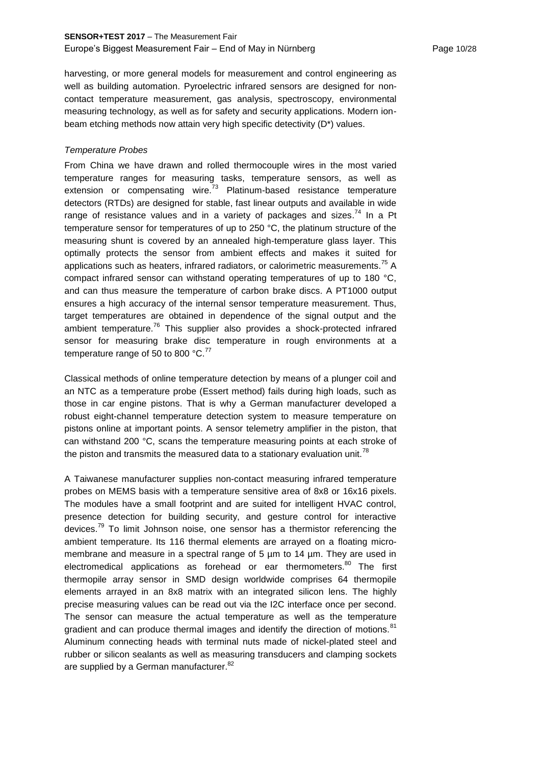# **SENSOR+TEST 2017** – The Measurement Fair Europe's Biggest Measurement Fair – End of May in Nürnberg Page 10/28

harvesting, or more general models for measurement and control engineering as well as building automation. Pyroelectric infrared sensors are designed for noncontact temperature measurement, gas analysis, spectroscopy, environmental measuring technology, as well as for safety and security applications. Modern ionbeam etching methods now attain very high specific detectivity (D\*) values.

## *Temperature Probes*

From China we have drawn and rolled thermocouple wires in the most varied temperature ranges for measuring tasks, temperature sensors, as well as extension or compensating wire. $73$  Platinum-based resistance temperature detectors (RTDs) are designed for stable, fast linear outputs and available in wide range of resistance values and in a variety of packages and sizes.<sup>74</sup> In a Pt temperature sensor for temperatures of up to 250 °C, the platinum structure of the measuring shunt is covered by an annealed high-temperature glass layer. This optimally protects the sensor from ambient effects and makes it suited for applications such as heaters, infrared radiators, or calorimetric measurements.<sup>75</sup> A compact infrared sensor can withstand operating temperatures of up to 180 °C, and can thus measure the temperature of carbon brake discs. A PT1000 output ensures a high accuracy of the internal sensor temperature measurement. Thus, target temperatures are obtained in dependence of the signal output and the ambient temperature.<sup>76</sup> This supplier also provides a shock-protected infrared sensor for measuring brake disc temperature in rough environments at a temperature range of 50 to 800  $^{\circ}$ C.<sup>77</sup>

Classical methods of online temperature detection by means of a plunger coil and an NTC as a temperature probe (Essert method) fails during high loads, such as those in car engine pistons. That is why a German manufacturer developed a robust eight-channel temperature detection system to measure temperature on pistons online at important points. A sensor telemetry amplifier in the piston, that can withstand 200 °C, scans the temperature measuring points at each stroke of the piston and transmits the measured data to a stationary evaluation unit.<sup>78</sup>

A Taiwanese manufacturer supplies non-contact measuring infrared temperature probes on MEMS basis with a temperature sensitive area of 8x8 or 16x16 pixels. The modules have a small footprint and are suited for intelligent HVAC control, presence detection for building security, and gesture control for interactive devices.<sup>79</sup> To limit Johnson noise, one sensor has a thermistor referencing the ambient temperature. Its 116 thermal elements are arrayed on a floating micromembrane and measure in a spectral range of 5 um to 14 um. They are used in electromedical applications as forehead or ear thermometers.<sup>80</sup> The first thermopile array sensor in SMD design worldwide comprises 64 thermopile elements arrayed in an 8x8 matrix with an integrated silicon lens. The highly precise measuring values can be read out via the I2C interface once per second. The sensor can measure the actual temperature as well as the temperature gradient and can produce thermal images and identify the direction of motions.<sup>81</sup> Aluminum connecting heads with terminal nuts made of nickel-plated steel and rubber or silicon sealants as well as measuring transducers and clamping sockets are supplied by a German manufacturer.<sup>82</sup>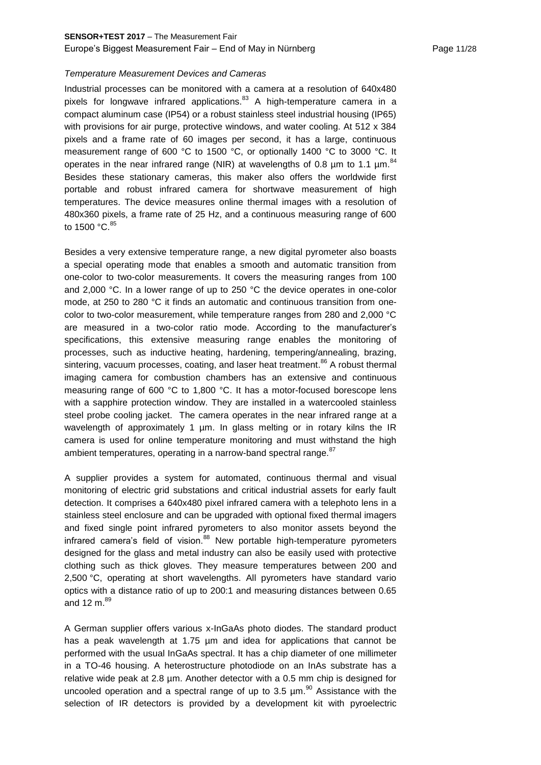## *Temperature Measurement Devices and Cameras*

Industrial processes can be monitored with a camera at a resolution of 640x480 pixels for longwave infrared applications. $83$  A high-temperature camera in a compact aluminum case (IP54) or a robust stainless steel industrial housing (IP65) with provisions for air purge, protective windows, and water cooling. At 512 x 384 pixels and a frame rate of 60 images per second, it has a large, continuous measurement range of 600 °C to 1500 °C, or optionally 1400 °C to 3000 °C. It operates in the near infrared range (NIR) at wavelengths of 0.8  $\mu$ m to 1.1  $\mu$ m.<sup>84</sup> Besides these stationary cameras, this maker also offers the worldwide first portable and robust infrared camera for shortwave measurement of high temperatures. The device measures online thermal images with a resolution of 480x360 pixels, a frame rate of 25 Hz, and a continuous measuring range of 600 to 1500  $^{\circ}$ C.  $^{85}$ 

Besides a very extensive temperature range, a new digital pyrometer also boasts a special operating mode that enables a smooth and automatic transition from one-color to two-color measurements. It covers the measuring ranges from 100 and 2,000 °C. In a lower range of up to 250 °C the device operates in one-color mode, at 250 to 280 °C it finds an automatic and continuous transition from onecolor to two-color measurement, while temperature ranges from 280 and 2,000 °C are measured in a two-color ratio mode. According to the manufacturer's specifications, this extensive measuring range enables the monitoring of processes, such as inductive heating, hardening, tempering/annealing, brazing, sintering, vacuum processes, coating, and laser heat treatment.<sup>86</sup> A robust thermal imaging camera for combustion chambers has an extensive and continuous measuring range of 600 °C to 1,800 °C. It has a motor-focused borescope lens with a sapphire protection window. They are installed in a watercooled stainless steel probe cooling jacket. The camera operates in the near infrared range at a wavelength of approximately 1 µm. In glass melting or in rotary kilns the IR camera is used for online temperature monitoring and must withstand the high ambient temperatures, operating in a narrow-band spectral range.<sup>87</sup>

A supplier provides a system for automated, continuous thermal and visual monitoring of electric grid substations and critical industrial assets for early fault detection. It comprises a 640x480 pixel infrared camera with a telephoto lens in a stainless steel enclosure and can be upgraded with optional fixed thermal imagers and fixed single point infrared pyrometers to also monitor assets beyond the infrared camera's field of vision.<sup>88</sup> New portable high-temperature pyrometers designed for the glass and metal industry can also be easily used with protective clothing such as thick gloves. They measure temperatures between 200 and 2,500 °C, operating at short wavelengths. All pyrometers have standard vario optics with a distance ratio of up to 200:1 and measuring distances between 0.65 and 12 m $^{89}$ 

A German supplier offers various x-InGaAs photo diodes. The standard product has a peak wavelength at 1.75 µm and idea for applications that cannot be performed with the usual InGaAs spectral. It has a chip diameter of one millimeter in a TO-46 housing. A heterostructure photodiode on an InAs substrate has a relative wide peak at 2.8 µm. Another detector with a 0.5 mm chip is designed for uncooled operation and a spectral range of up to 3.5  $\mu$ m.<sup>90</sup> Assistance with the selection of IR detectors is provided by a development kit with pyroelectric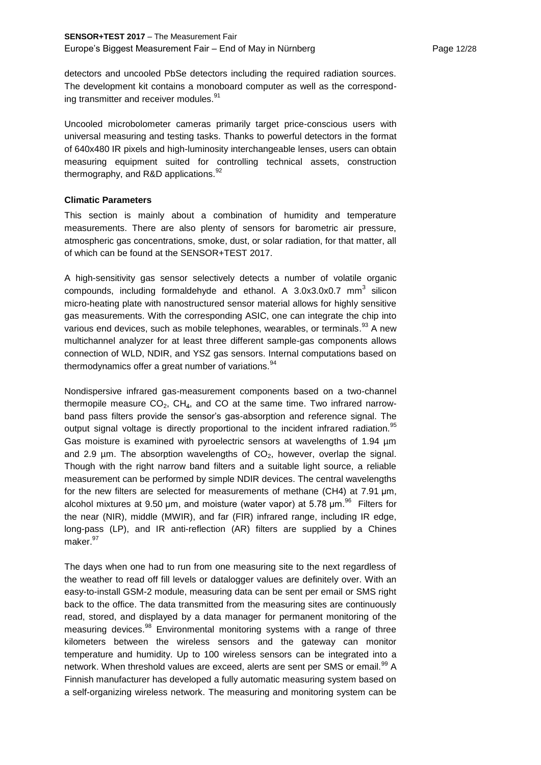detectors and uncooled PbSe detectors including the required radiation sources. The development kit contains a monoboard computer as well as the corresponding transmitter and receiver modules.<sup>91</sup>

Uncooled microbolometer cameras primarily target price-conscious users with universal measuring and testing tasks. Thanks to powerful detectors in the format of 640x480 IR pixels and high-luminosity interchangeable lenses, users can obtain measuring equipment suited for controlling technical assets, construction thermography, and R&D applications. $92$ 

## **Climatic Parameters**

This section is mainly about a combination of humidity and temperature measurements. There are also plenty of sensors for barometric air pressure, atmospheric gas concentrations, smoke, dust, or solar radiation, for that matter, all of which can be found at the SENSOR+TEST 2017.

A high-sensitivity gas sensor selectively detects a number of volatile organic compounds, including formaldehyde and ethanol. A  $3.0x3.0x0.7$  mm<sup>3</sup> silicon micro-heating plate with nanostructured sensor material allows for highly sensitive gas measurements. With the corresponding ASIC, one can integrate the chip into various end devices, such as mobile telephones, wearables, or terminals.<sup>93</sup> A new multichannel analyzer for at least three different sample-gas components allows connection of WLD, NDIR, and YSZ gas sensors. Internal computations based on thermodynamics offer a great number of variations.  $94$ 

Nondispersive infrared gas-measurement components based on a two-channel thermopile measure  $CO<sub>2</sub>$ , CH<sub>4</sub>, and CO at the same time. Two infrared narrowband pass filters provide the sensor's gas-absorption and reference signal. The output signal voltage is directly proportional to the incident infrared radiation.<sup>95</sup> Gas moisture is examined with pyroelectric sensors at wavelengths of 1.94 µm and 2.9  $\mu$ m. The absorption wavelengths of CO<sub>2</sub>, however, overlap the signal. Though with the right narrow band filters and a suitable light source, a reliable measurement can be performed by simple NDIR devices. The central wavelengths for the new filters are selected for measurements of methane (CH4) at 7.91 μm, alcohol mixtures at 9.50  $\mu$ m, and moisture (water vapor) at 5.78  $\mu$ m.<sup>96</sup> Filters for the near (NIR), middle (MWIR), and far (FIR) infrared range, including IR edge, long-pass (LP), and IR anti-reflection (AR) filters are supplied by a Chines maker.<sup>97</sup>

The days when one had to run from one measuring site to the next regardless of the weather to read off fill levels or datalogger values are definitely over. With an easy-to-install GSM-2 module, measuring data can be sent per email or SMS right back to the office. The data transmitted from the measuring sites are continuously read, stored, and displayed by a data manager for permanent monitoring of the measuring devices.<sup>98</sup> Environmental monitoring systems with a range of three kilometers between the wireless sensors and the gateway can monitor temperature and humidity. Up to 100 wireless sensors can be integrated into a network. When threshold values are exceed, alerts are sent per SMS or email.<sup>99</sup> A Finnish manufacturer has developed a fully automatic measuring system based on a self-organizing wireless network. The measuring and monitoring system can be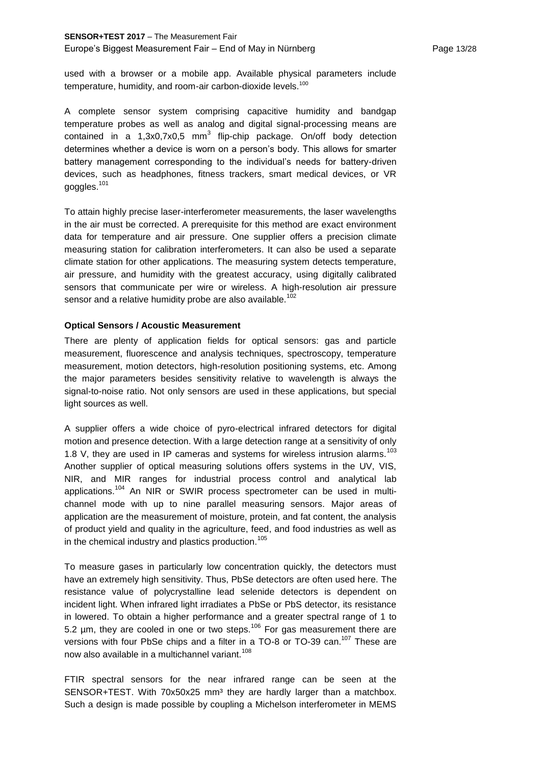# **SENSOR+TEST 2017** – The Measurement Fair

#### Europe's Biggest Measurement Fair – End of May in Nürnberg Page 13/28

used with a browser or a mobile app. Available physical parameters include temperature, humidity, and room-air carbon-dioxide levels.<sup>100</sup>

A complete sensor system comprising capacitive humidity and bandgap temperature probes as well as analog and digital signal-processing means are contained in a 1,3x0,7x0,5 mm<sup>3</sup> flip-chip package. On/off body detection determines whether a device is worn on a person's body. This allows for smarter battery management corresponding to the individual's needs for battery-driven devices, such as headphones, fitness trackers, smart medical devices, or VR goggles.<sup>101</sup>

To attain highly precise laser-interferometer measurements, the laser wavelengths in the air must be corrected. A prerequisite for this method are exact environment data for temperature and air pressure. One supplier offers a precision climate measuring station for calibration interferometers. It can also be used a separate climate station for other applications. The measuring system detects temperature, air pressure, and humidity with the greatest accuracy, using digitally calibrated sensors that communicate per wire or wireless. A high-resolution air pressure sensor and a relative humidity probe are also available.<sup>102</sup>

## **Optical Sensors / Acoustic Measurement**

There are plenty of application fields for optical sensors: gas and particle measurement, fluorescence and analysis techniques, spectroscopy, temperature measurement, motion detectors, high-resolution positioning systems, etc. Among the major parameters besides sensitivity relative to wavelength is always the signal-to-noise ratio. Not only sensors are used in these applications, but special light sources as well.

A supplier offers a wide choice of pyro-electrical infrared detectors for digital motion and presence detection. With a large detection range at a sensitivity of only 1.8 V, they are used in IP cameras and systems for wireless intrusion alarms.<sup>103</sup> Another supplier of optical measuring solutions offers systems in the UV, VIS, NIR, and MIR ranges for industrial process control and analytical lab applications.<sup>104</sup> An NIR or SWIR process spectrometer can be used in multichannel mode with up to nine parallel measuring sensors. Major areas of application are the measurement of moisture, protein, and fat content, the analysis of product yield and quality in the agriculture, feed, and food industries as well as in the chemical industry and plastics production.<sup>105</sup>

To measure gases in particularly low concentration quickly, the detectors must have an extremely high sensitivity. Thus, PbSe detectors are often used here. The resistance value of polycrystalline lead selenide detectors is dependent on incident light. When infrared light irradiates a PbSe or PbS detector, its resistance in lowered. To obtain a higher performance and a greater spectral range of 1 to 5.2  $\mu$ m, they are cooled in one or two steps.<sup>106</sup> For gas measurement there are versions with four PbSe chips and a filter in a TO-8 or TO-39 can.<sup>107</sup> These are now also available in a multichannel variant.<sup>108</sup>

FTIR spectral sensors for the near infrared range can be seen at the SENSOR+TEST. With 70x50x25 mm<sup>3</sup> they are hardly larger than a matchbox. Such a design is made possible by coupling a Michelson interferometer in MEMS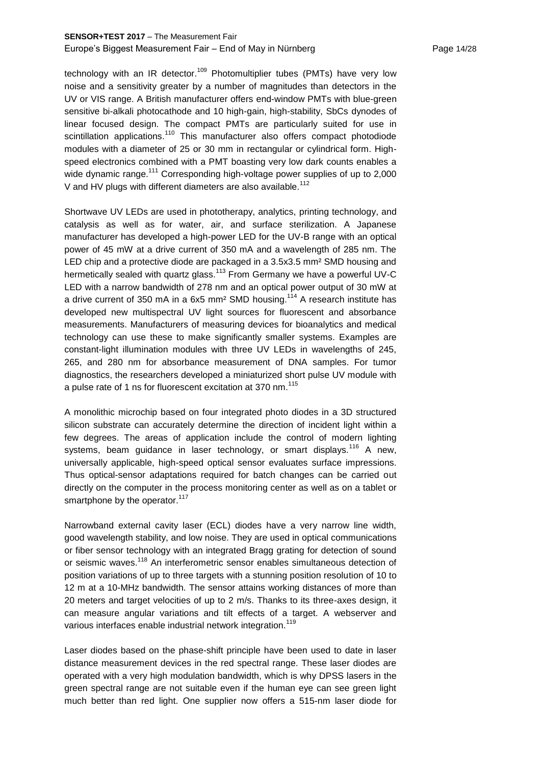# **SENSOR+TEST 2017** – The Measurement Fair Europe's Biggest Measurement Fair – End of May in Nürnberg Page 14/28

technology with an IR detector.<sup>109</sup> Photomultiplier tubes (PMTs) have very low noise and a sensitivity greater by a number of magnitudes than detectors in the UV or VIS range. A British manufacturer offers end-window PMTs with blue-green sensitive bi-alkali photocathode and 10 high-gain, high-stability, SbCs dynodes of linear focused design. The compact PMTs are particularly suited for use in scintillation applications.<sup>110</sup> This manufacturer also offers compact photodiode modules with a diameter of 25 or 30 mm in rectangular or cylindrical form. Highspeed electronics combined with a PMT boasting very low dark counts enables a wide dynamic range.<sup>111</sup> Corresponding high-voltage power supplies of up to 2,000 V and HV plugs with different diameters are also available.<sup>112</sup>

Shortwave UV LEDs are used in phototherapy, analytics, printing technology, and catalysis as well as for water, air, and surface sterilization. A Japanese manufacturer has developed a high-power LED for the UV-B range with an optical power of 45 mW at a drive current of 350 mA and a wavelength of 285 nm. The LED chip and a protective diode are packaged in a 3.5x3.5 mm² SMD housing and hermetically sealed with quartz glass.<sup>113</sup> From Germany we have a powerful UV-C LED with a narrow bandwidth of 278 nm and an optical power output of 30 mW at a drive current of 350 mA in a 6x5 mm<sup>2</sup> SMD housing.<sup>114</sup> A research institute has developed new multispectral UV light sources for fluorescent and absorbance measurements. Manufacturers of measuring devices for bioanalytics and medical technology can use these to make significantly smaller systems. Examples are constant-light illumination modules with three UV LEDs in wavelengths of 245, 265, and 280 nm for absorbance measurement of DNA samples. For tumor diagnostics, the researchers developed a miniaturized short pulse UV module with a pulse rate of 1 ns for fluorescent excitation at 370 nm.<sup>115</sup>

A monolithic microchip based on four integrated photo diodes in a 3D structured silicon substrate can accurately determine the direction of incident light within a few degrees. The areas of application include the control of modern lighting systems, beam guidance in laser technology, or smart displays.<sup>116</sup> A new, universally applicable, high-speed optical sensor evaluates surface impressions. Thus optical-sensor adaptations required for batch changes can be carried out directly on the computer in the process monitoring center as well as on a tablet or smartphone by the operator.<sup>117</sup>

Narrowband external cavity laser (ECL) diodes have a very narrow line width, good wavelength stability, and low noise. They are used in optical communications or fiber sensor technology with an integrated Bragg grating for detection of sound or seismic waves.<sup>118</sup> An interferometric sensor enables simultaneous detection of position variations of up to three targets with a stunning position resolution of 10 to 12 m at a 10-MHz bandwidth. The sensor attains working distances of more than 20 meters and target velocities of up to 2 m/s. Thanks to its three-axes design, it can measure angular variations and tilt effects of a target. A webserver and various interfaces enable industrial network integration.<sup>119</sup>

Laser diodes based on the phase-shift principle have been used to date in laser distance measurement devices in the red spectral range. These laser diodes are operated with a very high modulation bandwidth, which is why DPSS lasers in the green spectral range are not suitable even if the human eye can see green light much better than red light. One supplier now offers a 515-nm laser diode for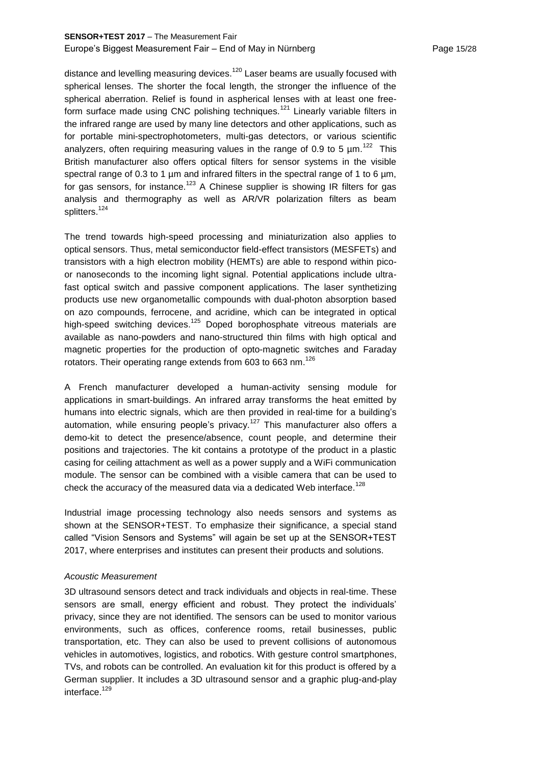# **SENSOR+TEST 2017** – The Measurement Fair Europe's Biggest Measurement Fair – End of May in Nürnberg Page 15/28

distance and levelling measuring devices.<sup>120</sup> Laser beams are usually focused with spherical lenses. The shorter the focal length, the stronger the influence of the spherical aberration. Relief is found in aspherical lenses with at least one freeform surface made using CNC polishing techniques.<sup>121</sup> Linearly variable filters in the infrared range are used by many line detectors and other applications, such as for portable mini-spectrophotometers, multi-gas detectors, or various scientific analyzers, often requiring measuring values in the range of 0.9 to 5  $\mu$ m.<sup>122</sup> This British manufacturer also offers optical filters for sensor systems in the visible spectral range of 0.3 to 1  $\mu$ m and infrared filters in the spectral range of 1 to 6  $\mu$ m, for gas sensors, for instance.<sup>123</sup> A Chinese supplier is showing IR filters for gas analysis and thermography as well as AR/VR polarization filters as beam splitters.<sup>124</sup>

The trend towards high-speed processing and miniaturization also applies to optical sensors. Thus, metal semiconductor field-effect transistors (MESFETs) and transistors with a high electron mobility (HEMTs) are able to respond within picoor nanoseconds to the incoming light signal. Potential applications include ultrafast optical switch and passive component applications. The laser synthetizing products use new organometallic compounds with dual-photon absorption based on azo compounds, ferrocene, and acridine, which can be integrated in optical high-speed switching devices.<sup>125</sup> Doped borophosphate vitreous materials are available as nano-powders and nano-structured thin films with high optical and magnetic properties for the production of opto-magnetic switches and Faraday rotators. Their operating range extends from 603 to 663 nm.<sup>126</sup>

A French manufacturer developed a human-activity sensing module for applications in smart-buildings. An infrared array transforms the heat emitted by humans into electric signals, which are then provided in real-time for a building's automation, while ensuring people's privacy.<sup>127</sup> This manufacturer also offers a demo-kit to detect the presence/absence, count people, and determine their positions and trajectories. The kit contains a prototype of the product in a plastic casing for ceiling attachment as well as a power supply and a WiFi communication module. The sensor can be combined with a visible camera that can be used to check the accuracy of the measured data via a dedicated Web interface.<sup>128</sup>

Industrial image processing technology also needs sensors and systems as shown at the SENSOR+TEST. To emphasize their significance, a special stand called "Vision Sensors and Systems" will again be set up at the SENSOR+TEST 2017, where enterprises and institutes can present their products and solutions.

#### *Acoustic Measurement*

3D ultrasound sensors detect and track individuals and objects in real-time. These sensors are small, energy efficient and robust. They protect the individuals' privacy, since they are not identified. The sensors can be used to monitor various environments, such as offices, conference rooms, retail businesses, public transportation, etc. They can also be used to prevent collisions of autonomous vehicles in automotives, logistics, and robotics. With gesture control smartphones, TVs, and robots can be controlled. An evaluation kit for this product is offered by a German supplier. It includes a 3D ultrasound sensor and a graphic plug-and-play interface.<sup>129</sup>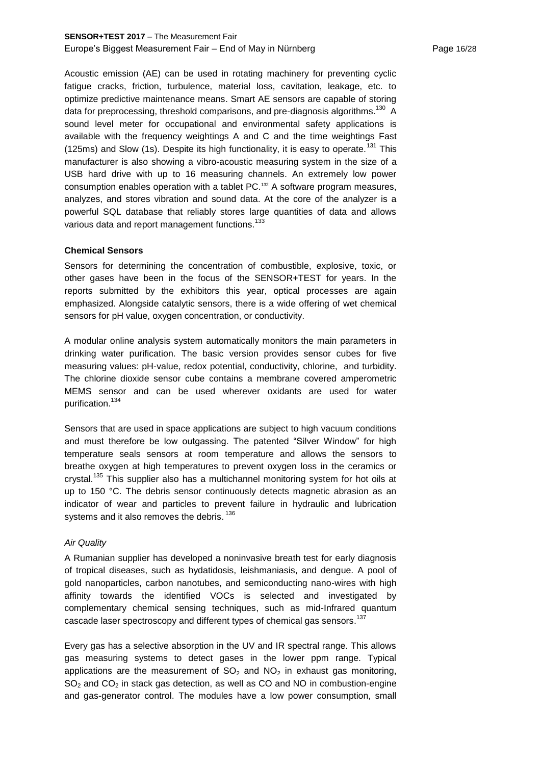## **SENSOR+TEST 2017** – The Measurement Fair Europe's Biggest Measurement Fair – End of May in Nürnberg Page 16/28

Acoustic emission (AE) can be used in rotating machinery for preventing cyclic fatigue cracks, friction, turbulence, material loss, cavitation, leakage, etc. to optimize predictive maintenance means. Smart AE sensors are capable of storing data for preprocessing, threshold comparisons, and pre-diagnosis algorithms. $^{130}$  A sound level meter for occupational and environmental safety applications is available with the frequency weightings A and C and the time weightings Fast (125ms) and Slow (1s). Despite its high functionality, it is easy to operate.<sup>131</sup> This manufacturer is also showing a vibro-acoustic measuring system in the size of a USB hard drive with up to 16 measuring channels. An extremely low power consumption enables operation with a tablet PC.<sup>132</sup> A software program measures, analyzes, and stores vibration and sound data. At the core of the analyzer is a powerful SQL database that reliably stores large quantities of data and allows various data and report management functions.<sup>133</sup>

## **Chemical Sensors**

Sensors for determining the concentration of combustible, explosive, toxic, or other gases have been in the focus of the SENSOR+TEST for years. In the reports submitted by the exhibitors this year, optical processes are again emphasized. Alongside catalytic sensors, there is a wide offering of wet chemical sensors for pH value, oxygen concentration, or conductivity.

A modular online analysis system automatically monitors the main parameters in drinking water purification. The basic version provides sensor cubes for five measuring values: pH-value, redox potential, conductivity, chlorine, and turbidity. The chlorine dioxide sensor cube contains a membrane covered amperometric MEMS sensor and can be used wherever oxidants are used for water purification. 134

Sensors that are used in space applications are subject to high vacuum conditions and must therefore be low outgassing. The patented "Silver Window" for high temperature seals sensors at room temperature and allows the sensors to breathe oxygen at high temperatures to prevent oxygen loss in the ceramics or crystal.<sup>135</sup> This supplier also has a multichannel monitoring system for hot oils at up to 150 °C. The debris sensor continuously detects magnetic abrasion as an indicator of wear and particles to prevent failure in hydraulic and lubrication systems and it also removes the debris. <sup>136</sup>

#### *Air Quality*

A Rumanian supplier has developed a noninvasive breath test for early diagnosis of tropical diseases, such as hydatidosis, leishmaniasis, and dengue. A pool of gold nanoparticles, carbon nanotubes, and semiconducting nano-wires with high affinity towards the identified VOCs is selected and investigated by complementary chemical sensing techniques, such as mid-Infrared quantum cascade laser spectroscopy and different types of chemical gas sensors.<sup>137</sup>

Every gas has a selective absorption in the UV and IR spectral range. This allows gas measuring systems to detect gases in the lower ppm range. Typical applications are the measurement of  $SO<sub>2</sub>$  and  $NO<sub>2</sub>$  in exhaust gas monitoring,  $SO<sub>2</sub>$  and  $CO<sub>2</sub>$  in stack gas detection, as well as CO and NO in combustion-engine and gas-generator control. The modules have a low power consumption, small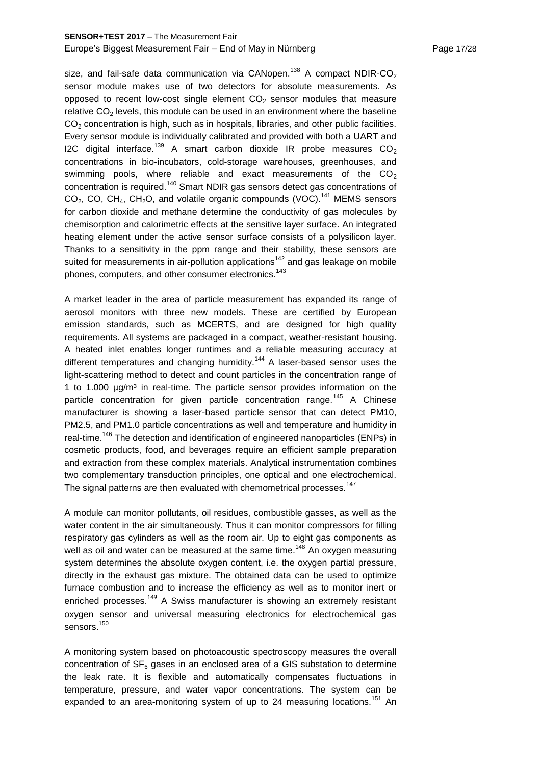size, and fail-safe data communication via CANopen.<sup>138</sup> A compact NDIR-CO<sub>2</sub> sensor module makes use of two detectors for absolute measurements. As opposed to recent low-cost single element  $CO<sub>2</sub>$  sensor modules that measure relative  $CO<sub>2</sub>$  levels, this module can be used in an environment where the baseline  $CO<sub>2</sub>$  concentration is high, such as in hospitals, libraries, and other public facilities. Every sensor module is individually calibrated and provided with both a UART and I2C digital interface.<sup>139</sup> A smart carbon dioxide IR probe measures  $CO<sub>2</sub>$ concentrations in bio-incubators, cold-storage warehouses, greenhouses, and swimming pools, where reliable and exact measurements of the  $CO<sub>2</sub>$ concentration is required.<sup>140</sup> Smart NDIR gas sensors detect gas concentrations of  $CO<sub>2</sub>$ , CO, CH<sub>4</sub>, CH<sub>2</sub>O, and volatile organic compounds (VOC).<sup>141</sup> MEMS sensors for carbon dioxide and methane determine the conductivity of gas molecules by chemisorption and calorimetric effects at the sensitive layer surface. An integrated heating element under the active sensor surface consists of a polysilicon layer. Thanks to a sensitivity in the ppm range and their stability, these sensors are suited for measurements in air-pollution applications $142$  and gas leakage on mobile phones, computers, and other consumer electronics.<sup>143</sup>

A market leader in the area of particle measurement has expanded its range of aerosol monitors with three new models. These are certified by European emission standards, such as MCERTS, and are designed for high quality requirements. All systems are packaged in a compact, weather-resistant housing. A heated inlet enables longer runtimes and a reliable measuring accuracy at different temperatures and changing humidity.<sup>144</sup> A laser-based sensor uses the light-scattering method to detect and count particles in the concentration range of 1 to 1.000  $\mu q/m^3$  in real-time. The particle sensor provides information on the particle concentration for given particle concentration range.<sup>145</sup> A Chinese manufacturer is showing a laser-based particle sensor that can detect PM10, PM2.5, and PM1.0 particle concentrations as well and temperature and humidity in real-time.<sup>146</sup> The detection and identification of engineered nanoparticles (ENPs) in cosmetic products, food, and beverages require an efficient sample preparation and extraction from these complex materials. Analytical instrumentation combines two complementary transduction principles, one optical and one electrochemical. The signal patterns are then evaluated with chemometrical processes.<sup>147</sup>

A module can monitor pollutants, oil residues, combustible gasses, as well as the water content in the air simultaneously. Thus it can monitor compressors for filling respiratory gas cylinders as well as the room air. Up to eight gas components as well as oil and water can be measured at the same time.<sup>148</sup> An oxygen measuring system determines the absolute oxygen content, i.e. the oxygen partial pressure, directly in the exhaust gas mixture. The obtained data can be used to optimize furnace combustion and to increase the efficiency as well as to monitor inert or enriched processes.<sup>149</sup> A Swiss manufacturer is showing an extremely resistant oxygen sensor and universal measuring electronics for electrochemical gas sensors.<sup>150</sup>

A monitoring system based on photoacoustic spectroscopy measures the overall concentration of  $SF_6$  gases in an enclosed area of a GIS substation to determine the leak rate. It is flexible and automatically compensates fluctuations in temperature, pressure, and water vapor concentrations. The system can be expanded to an area-monitoring system of up to 24 measuring locations.<sup>151</sup> An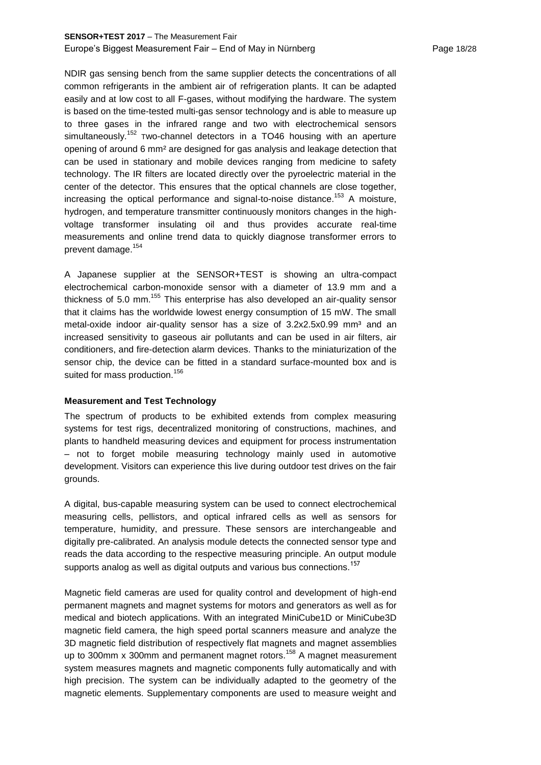# **SENSOR+TEST 2017** – The Measurement Fair Europe's Biggest Measurement Fair – End of May in Nürnberg Page 18/28

NDIR gas sensing bench from the same supplier detects the concentrations of all common refrigerants in the ambient air of refrigeration plants. It can be adapted easily and at low cost to all F-gases, without modifying the hardware. The system is based on the time-tested multi-gas sensor technology and is able to measure up to three gases in the infrared range and two with electrochemical sensors simultaneously.<sup>152</sup> Two-channel detectors in a TO46 housing with an aperture opening of around 6 mm² are designed for gas analysis and leakage detection that can be used in stationary and mobile devices ranging from medicine to safety technology. The IR filters are located directly over the pyroelectric material in the center of the detector. This ensures that the optical channels are close together, increasing the optical performance and signal-to-noise distance.<sup>153</sup> A moisture, hydrogen, and temperature transmitter continuously monitors changes in the highvoltage transformer insulating oil and thus provides accurate real-time measurements and online trend data to quickly diagnose transformer errors to prevent damage.<sup>154</sup>

A Japanese supplier at the SENSOR+TEST is showing an ultra-compact electrochemical carbon-monoxide sensor with a diameter of 13.9 mm and a thickness of 5.0 mm.<sup>155</sup> This enterprise has also developed an air-quality sensor that it claims has the worldwide lowest energy consumption of 15 mW. The small metal-oxide indoor air-quality sensor has a size of  $3.2x2.5x0.99$  mm<sup>3</sup> and an increased sensitivity to gaseous air pollutants and can be used in air filters, air conditioners, and fire-detection alarm devices. Thanks to the miniaturization of the sensor chip, the device can be fitted in a standard surface-mounted box and is suited for mass production.<sup>156</sup>

## **Measurement and Test Technology**

The spectrum of products to be exhibited extends from complex measuring systems for test rigs, decentralized monitoring of constructions, machines, and plants to handheld measuring devices and equipment for process instrumentation – not to forget mobile measuring technology mainly used in automotive development. Visitors can experience this live during outdoor test drives on the fair grounds.

A digital, bus-capable measuring system can be used to connect electrochemical measuring cells, pellistors, and optical infrared cells as well as sensors for temperature, humidity, and pressure. These sensors are interchangeable and digitally pre-calibrated. An analysis module detects the connected sensor type and reads the data according to the respective measuring principle. An output module supports analog as well as digital outputs and various bus connections.<sup>157</sup>

Magnetic field cameras are used for quality control and development of high-end permanent magnets and magnet systems for motors and generators as well as for medical and biotech applications. With an integrated MiniCube1D or MiniCube3D magnetic field camera, the high speed portal scanners measure and analyze the 3D magnetic field distribution of respectively flat magnets and magnet assemblies up to 300mm x 300mm and permanent magnet rotors.<sup>158</sup> A magnet measurement system measures magnets and magnetic components fully automatically and with high precision. The system can be individually adapted to the geometry of the magnetic elements. Supplementary components are used to measure weight and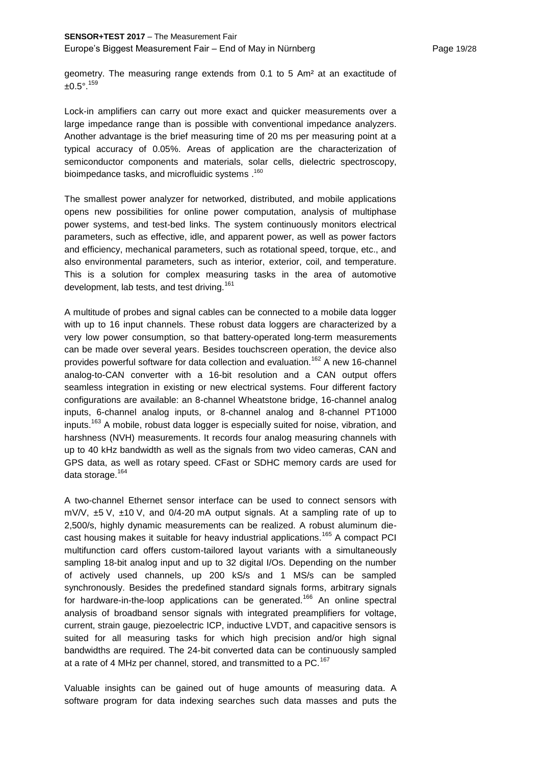geometry. The measuring range extends from 0.1 to 5 Am² at an exactitude of  $±0.5^{\circ}$ .<sup>159</sup>

Lock-in amplifiers can carry out more exact and quicker measurements over a large impedance range than is possible with conventional impedance analyzers. Another advantage is the brief measuring time of 20 ms per measuring point at a typical accuracy of 0.05%. Areas of application are the characterization of semiconductor components and materials, solar cells, dielectric spectroscopy, <sup>160</sup>. bioimpedance tasks, and microfluidic systems

The smallest power analyzer for networked, distributed, and mobile applications opens new possibilities for online power computation, analysis of multiphase power systems, and test-bed links. The system continuously monitors electrical parameters, such as effective, idle, and apparent power, as well as power factors and efficiency, mechanical parameters, such as rotational speed, torque, etc., and also environmental parameters, such as interior, exterior, coil, and temperature. This is a solution for complex measuring tasks in the area of automotive development, lab tests, and test driving.<sup>161</sup>

A multitude of probes and signal cables can be connected to a mobile data logger with up to 16 input channels. These robust data loggers are characterized by a very low power consumption, so that battery-operated long-term measurements can be made over several years. Besides touchscreen operation, the device also provides powerful software for data collection and evaluation.<sup>162</sup> A new 16-channel analog-to-CAN converter with a 16-bit resolution and a CAN output offers seamless integration in existing or new electrical systems. Four different factory configurations are available: an 8-channel Wheatstone bridge, 16-channel analog inputs, 6-channel analog inputs, or 8-channel analog and 8-channel PT1000 inputs.<sup>163</sup> A mobile, robust data logger is especially suited for noise, vibration, and harshness (NVH) measurements. It records four analog measuring channels with up to 40 kHz bandwidth as well as the signals from two video cameras, CAN and GPS data, as well as rotary speed. CFast or SDHC memory cards are used for data storage.<sup>164</sup>

A two-channel Ethernet sensor interface can be used to connect sensors with  $mV/V$ ,  $\pm 5$  V,  $\pm 10$  V, and 0/4-20 mA output signals. At a sampling rate of up to 2,500/s, highly dynamic measurements can be realized. A robust aluminum diecast housing makes it suitable for heavy industrial applications.<sup>165</sup> A compact PCI multifunction card offers custom-tailored layout variants with a simultaneously sampling 18-bit analog input and up to 32 digital I/Os. Depending on the number of actively used channels, up 200 kS/s and 1 MS/s can be sampled synchronously. Besides the predefined standard signals forms, arbitrary signals for hardware-in-the-loop applications can be generated.<sup>166</sup> An online spectral analysis of broadband sensor signals with integrated preamplifiers for voltage, current, strain gauge, piezoelectric ICP, inductive LVDT, and capacitive sensors is suited for all measuring tasks for which high precision and/or high signal bandwidths are required. The 24-bit converted data can be continuously sampled at a rate of 4 MHz per channel, stored, and transmitted to a PC.<sup>167</sup>

Valuable insights can be gained out of huge amounts of measuring data. A software program for data indexing searches such data masses and puts the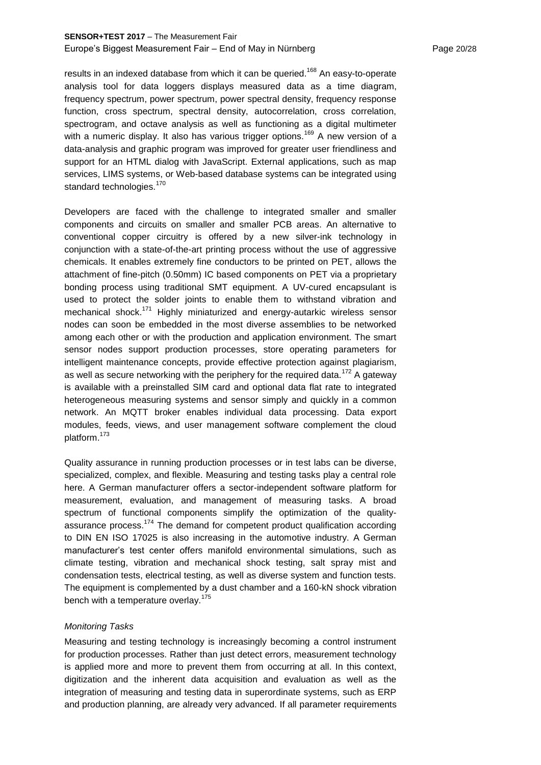# **SENSOR+TEST 2017** – The Measurement Fair Europe's Biggest Measurement Fair – End of May in Nürnberg Page 20/28

results in an indexed database from which it can be queried.<sup>168</sup> An easy-to-operate analysis tool for data loggers displays measured data as a time diagram, frequency spectrum, power spectrum, power spectral density, frequency response function, cross spectrum, spectral density, autocorrelation, cross correlation, spectrogram, and octave analysis as well as functioning as a digital multimeter with a numeric display. It also has various trigger options.<sup>169</sup> A new version of a data-analysis and graphic program was improved for greater user friendliness and support for an HTML dialog with JavaScript. External applications, such as map services, LIMS systems, or Web-based database systems can be integrated using standard technologies.<sup>170</sup>

Developers are faced with the challenge to integrated smaller and smaller components and circuits on smaller and smaller PCB areas. An alternative to conventional copper circuitry is offered by a new silver-ink technology in conjunction with a state-of-the-art printing process without the use of aggressive chemicals. It enables extremely fine conductors to be printed on PET, allows the attachment of fine-pitch (0.50mm) IC based components on PET via a proprietary bonding process using traditional SMT equipment. A UV-cured encapsulant is used to protect the solder joints to enable them to withstand vibration and mechanical shock.<sup>171</sup> Highly miniaturized and energy-autarkic wireless sensor nodes can soon be embedded in the most diverse assemblies to be networked among each other or with the production and application environment. The smart sensor nodes support production processes, store operating parameters for intelligent maintenance concepts, provide effective protection against plagiarism, as well as secure networking with the periphery for the required data.<sup>172</sup> A gateway is available with a preinstalled SIM card and optional data flat rate to integrated heterogeneous measuring systems and sensor simply and quickly in a common network. An MQTT broker enables individual data processing. Data export modules, feeds, views, and user management software complement the cloud platform.<sup>173</sup>

Quality assurance in running production processes or in test labs can be diverse, specialized, complex, and flexible. Measuring and testing tasks play a central role here. A German manufacturer offers a sector-independent software platform for measurement, evaluation, and management of measuring tasks. A broad spectrum of functional components simplify the optimization of the qualityassurance process.<sup>174</sup> The demand for competent product qualification according to DIN EN ISO 17025 is also increasing in the automotive industry. A German manufacturer's test center offers manifold environmental simulations, such as climate testing, vibration and mechanical shock testing, salt spray mist and condensation tests, electrical testing, as well as diverse system and function tests. The equipment is complemented by a dust chamber and a 160-kN shock vibration bench with a temperature overlay.<sup>175</sup>

#### *Monitoring Tasks*

Measuring and testing technology is increasingly becoming a control instrument for production processes. Rather than just detect errors, measurement technology is applied more and more to prevent them from occurring at all. In this context, digitization and the inherent data acquisition and evaluation as well as the integration of measuring and testing data in superordinate systems, such as ERP and production planning, are already very advanced. If all parameter requirements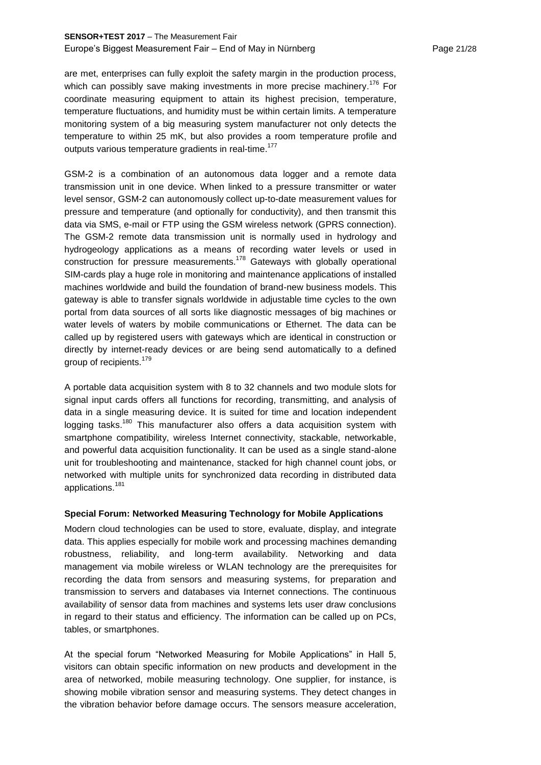# **SENSOR+TEST 2017** – The Measurement Fair Europe's Biggest Measurement Fair – End of May in Nürnberg Page 21/28

are met, enterprises can fully exploit the safety margin in the production process, which can possibly save making investments in more precise machinery.<sup>176</sup> For coordinate measuring equipment to attain its highest precision, temperature, temperature fluctuations, and humidity must be within certain limits. A temperature monitoring system of a big measuring system manufacturer not only detects the temperature to within 25 mK, but also provides a room temperature profile and outputs various temperature gradients in real-time.<sup>177</sup>

GSM-2 is a combination of an autonomous data logger and a remote data transmission unit in one device. When linked to a pressure transmitter or water level sensor, GSM-2 can autonomously collect up-to-date measurement values for pressure and temperature (and optionally for conductivity), and then transmit this data via SMS, e-mail or FTP using the GSM wireless network (GPRS connection). The GSM-2 remote data transmission unit is normally used in hydrology and hydrogeology applications as a means of recording water levels or used in construction for pressure measurements.<sup>178</sup> Gateways with globally operational SIM-cards play a huge role in monitoring and maintenance applications of installed machines worldwide and build the foundation of brand-new business models. This gateway is able to transfer signals worldwide in adjustable time cycles to the own portal from data sources of all sorts like diagnostic messages of big machines or water levels of waters by mobile communications or Ethernet. The data can be called up by registered users with gateways which are identical in construction or directly by internet-ready devices or are being send automatically to a defined group of recipients.<sup>179</sup>

A portable data acquisition system with 8 to 32 channels and two module slots for signal input cards offers all functions for recording, transmitting, and analysis of data in a single measuring device. It is suited for time and location independent logging tasks.<sup>180</sup> This manufacturer also offers a data acquisition system with smartphone compatibility, wireless Internet connectivity, stackable, networkable, and powerful data acquisition functionality. It can be used as a single stand-alone unit for troubleshooting and maintenance, stacked for high channel count jobs, or networked with multiple units for synchronized data recording in distributed data applications.<sup>181</sup>

# **Special Forum: Networked Measuring Technology for Mobile Applications**

Modern cloud technologies can be used to store, evaluate, display, and integrate data. This applies especially for mobile work and processing machines demanding robustness, reliability, and long-term availability. Networking and data management via mobile wireless or WLAN technology are the prerequisites for recording the data from sensors and measuring systems, for preparation and transmission to servers and databases via Internet connections. The continuous availability of sensor data from machines and systems lets user draw conclusions in regard to their status and efficiency. The information can be called up on PCs, tables, or smartphones.

At the special forum "Networked Measuring for Mobile Applications" in Hall 5, visitors can obtain specific information on new products and development in the area of networked, mobile measuring technology. One supplier, for instance, is showing mobile vibration sensor and measuring systems. They detect changes in the vibration behavior before damage occurs. The sensors measure acceleration,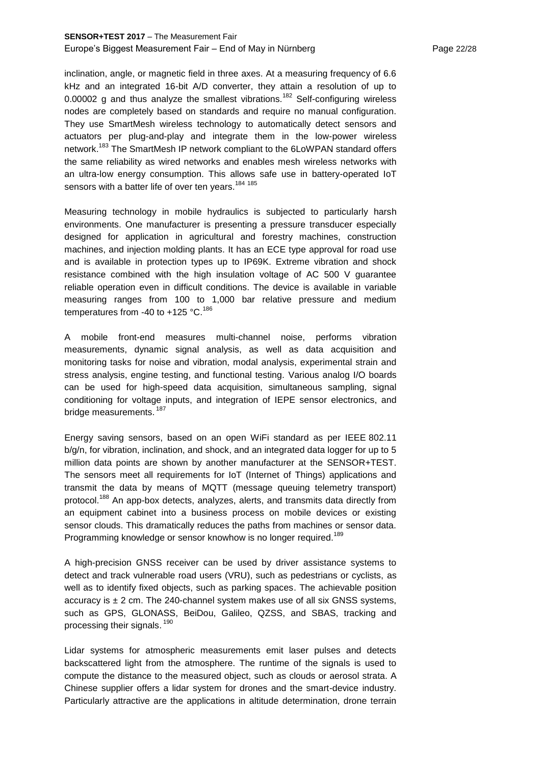# **SENSOR+TEST 2017** – The Measurement Fair Europe's Biggest Measurement Fair – End of May in Nürnberg Page 22/28

inclination, angle, or magnetic field in three axes. At a measuring frequency of 6.6 kHz and an integrated 16-bit A/D converter, they attain a resolution of up to 0.00002 g and thus analyze the smallest vibrations.<sup>182</sup> Self-configuring wireless nodes are completely based on standards and require no manual configuration. They use SmartMesh wireless technology to automatically detect sensors and actuators per plug-and-play and integrate them in the low-power wireless network.<sup>183</sup> The SmartMesh IP network compliant to the 6LoWPAN standard offers the same reliability as wired networks and enables mesh wireless networks with an ultra-low energy consumption. This allows safe use in battery-operated IoT sensors with a batter life of over ten years.<sup>184 185</sup>

Measuring technology in mobile hydraulics is subjected to particularly harsh environments. One manufacturer is presenting a pressure transducer especially designed for application in agricultural and forestry machines, construction machines, and injection molding plants. It has an ECE type approval for road use and is available in protection types up to IP69K. Extreme vibration and shock resistance combined with the high insulation voltage of AC 500 V guarantee reliable operation even in difficult conditions. The device is available in variable measuring ranges from 100 to 1,000 bar relative pressure and medium temperatures from -40 to +125  $^{\circ}$ C.<sup>186</sup>

A mobile front-end measures multi-channel noise, performs vibration measurements, dynamic signal analysis, as well as data acquisition and monitoring tasks for noise and vibration, modal analysis, experimental strain and stress analysis, engine testing, and functional testing. Various analog I/O boards can be used for high-speed data acquisition, simultaneous sampling, signal conditioning for voltage inputs, and integration of IEPE sensor electronics, and bridge measurements. <sup>187</sup>

Energy saving sensors, based on an open WiFi standard as per IEEE 802.11 b/g/n, for vibration, inclination, and shock, and an integrated data logger for up to 5 million data points are shown by another manufacturer at the SENSOR+TEST. The sensors meet all requirements for IoT (Internet of Things) applications and transmit the data by means of MQTT (message queuing telemetry transport) protocol.<sup>188</sup> An app-box detects, analyzes, alerts, and transmits data directly from an equipment cabinet into a business process on mobile devices or existing sensor clouds. This dramatically reduces the paths from machines or sensor data. Programming knowledge or sensor knowhow is no longer required.<sup>189</sup>

A high-precision GNSS receiver can be used by driver assistance systems to detect and track vulnerable road users (VRU), such as pedestrians or cyclists, as well as to identify fixed objects, such as parking spaces. The achievable position accuracy is  $\pm$  2 cm. The 240-channel system makes use of all six GNSS systems, such as GPS, GLONASS, BeiDou, Galileo, QZSS, and SBAS, tracking and processing their signals. <sup>190</sup>

Lidar systems for atmospheric measurements emit laser pulses and detects backscattered light from the atmosphere. The runtime of the signals is used to compute the distance to the measured object, such as clouds or aerosol strata. A Chinese supplier offers a lidar system for drones and the smart-device industry. Particularly attractive are the applications in altitude determination, drone terrain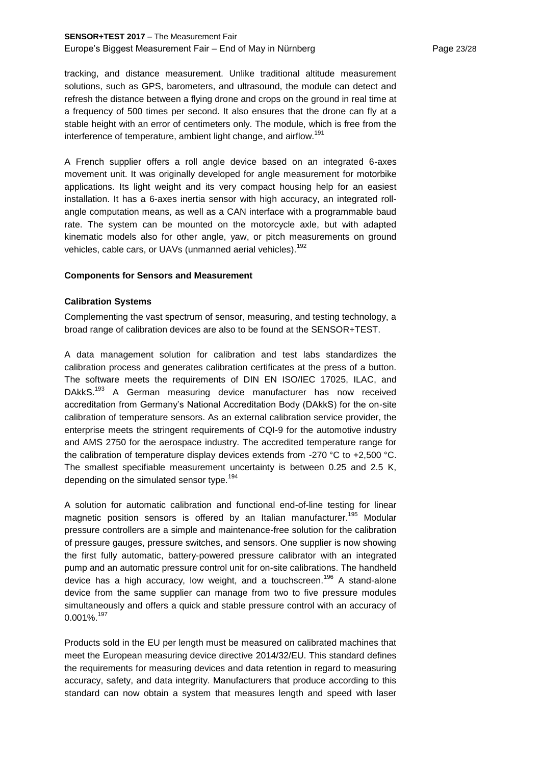# **SENSOR+TEST 2017** – The Measurement Fair Europe's Biggest Measurement Fair – End of May in Nürnberg Page 23/28

tracking, and distance measurement. Unlike traditional altitude measurement solutions, such as GPS, barometers, and ultrasound, the module can detect and refresh the distance between a flying drone and crops on the ground in real time at a frequency of 500 times per second. It also ensures that the drone can fly at a stable height with an error of centimeters only. The module, which is free from the interference of temperature, ambient light change, and airflow.<sup>191</sup>

A French supplier offers a roll angle device based on an integrated 6-axes movement unit. It was originally developed for angle measurement for motorbike applications. Its light weight and its very compact housing help for an easiest installation. It has a 6-axes inertia sensor with high accuracy, an integrated rollangle computation means, as well as a CAN interface with a programmable baud rate. The system can be mounted on the motorcycle axle, but with adapted kinematic models also for other angle, yaw, or pitch measurements on ground vehicles, cable cars, or UAVs (unmanned aerial vehicles).<sup>192</sup>

## **Components for Sensors and Measurement**

# **Calibration Systems**

Complementing the vast spectrum of sensor, measuring, and testing technology, a broad range of calibration devices are also to be found at the SENSOR+TEST.

A data management solution for calibration and test labs standardizes the calibration process and generates calibration certificates at the press of a button. The software meets the requirements of DIN EN ISO/IEC 17025, ILAC, and DAkkS.<sup>193</sup> A German measuring device manufacturer has now received accreditation from Germany's National Accreditation Body (DAkkS) for the on-site calibration of temperature sensors. As an external calibration service provider, the enterprise meets the stringent requirements of CQI-9 for the automotive industry and AMS 2750 for the aerospace industry. The accredited temperature range for the calibration of temperature display devices extends from -270 °C to +2,500 °C. The smallest specifiable measurement uncertainty is between 0.25 and 2.5 K, depending on the simulated sensor type.<sup>194</sup>

A solution for automatic calibration and functional end-of-line testing for linear magnetic position sensors is offered by an Italian manufacturer.<sup>195</sup> Modular pressure controllers are a simple and maintenance-free solution for the calibration of pressure gauges, pressure switches, and sensors. One supplier is now showing the first fully automatic, battery-powered pressure calibrator with an integrated pump and an automatic pressure control unit for on-site calibrations. The handheld device has a high accuracy, low weight, and a touchscreen.<sup>196</sup> A stand-alone device from the same supplier can manage from two to five pressure modules simultaneously and offers a quick and stable pressure control with an accuracy of 0.001%.<sup>197</sup>

Products sold in the EU per length must be measured on calibrated machines that meet the European measuring device directive 2014/32/EU. This standard defines the requirements for measuring devices and data retention in regard to measuring accuracy, safety, and data integrity. Manufacturers that produce according to this standard can now obtain a system that measures length and speed with laser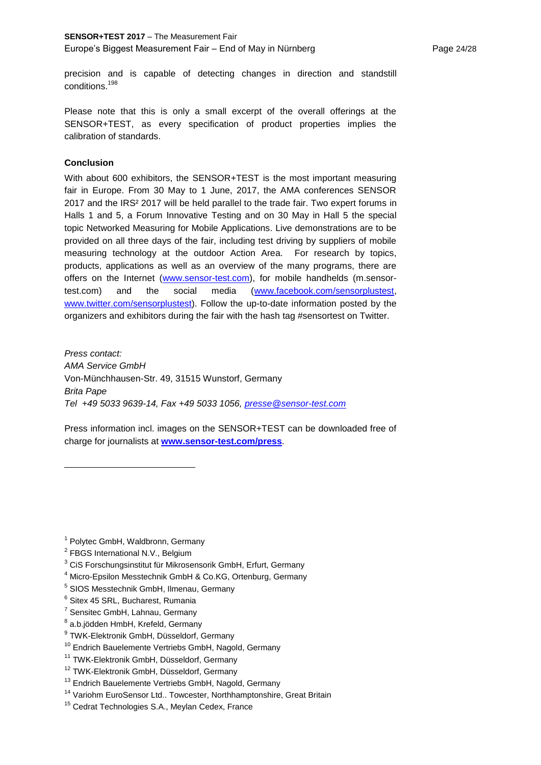precision and is capable of detecting changes in direction and standstill conditions. 198

Please note that this is only a small excerpt of the overall offerings at the SENSOR+TEST, as every specification of product properties implies the calibration of standards.

# **Conclusion**

With about 600 exhibitors, the SENSOR+TEST is the most important measuring fair in Europe. From 30 May to 1 June, 2017, the AMA conferences SENSOR 2017 and the IRS² 2017 will be held parallel to the trade fair. Two expert forums in Halls 1 and 5, a Forum Innovative Testing and on 30 May in Hall 5 the special topic Networked Measuring for Mobile Applications. Live demonstrations are to be provided on all three days of the fair, including test driving by suppliers of mobile measuring technology at the outdoor Action Area. For research by topics, products, applications as well as an overview of the many programs, there are offers on the Internet [\(www.sensor-test.com\)](http://www.sensor-test.com/), for mobile handhelds (m.sensortest.com) and the social media [\(www.facebook.com/sensorplustest,](http://www.facebook.com/sensorplustest) [www.twitter.com/sensorplustest\)](http://www.twitter.com/sensorplustest). Follow the up-to-date information posted by the organizers and exhibitors during the fair with the hash tag #sensortest on Twitter.

*Press contact: AMA Service GmbH*  Von-Münchhausen-Str. 49, 31515 Wunstorf, Germany *Brita Pape Tel +49 5033 9639-14, Fax +49 5033 1056, [presse@sensor-test.com](mailto:presse@sensor-test.com)*

Press information incl. images on the SENSOR+TEST can be downloaded free of charge for journalists at **[www.sensor-test.com/press](http://www.sensor-test.com/press)**.

- <sup>3</sup> CiS Forschungsinstitut für Mikrosensorik GmbH, Erfurt, Germany
- <sup>4</sup> Micro-Epsilon Messtechnik GmbH & Co.KG, Ortenburg, Germany
- <sup>5</sup> SIOS Messtechnik GmbH, Ilmenau, Germany
- 6 Sitex 45 SRL, Bucharest, Rumania
- <sup>7</sup> Sensitec GmbH, Lahnau, Germany
- $^8$  a.b.jödden HmbH, Krefeld, Germany
- <sup>9</sup> TWK-Elektronik GmbH, Düsseldorf, Germany
- <sup>10</sup> Endrich Bauelemente Vertriebs GmbH, Nagold, Germany
- <sup>11</sup> TWK-Elektronik GmbH, Düsseldorf, Germany
- <sup>12</sup> TWK-Elektronik GmbH, Düsseldorf, Germany
- <sup>13</sup> Endrich Bauelemente Vertriebs GmbH, Nagold, Germany
- <sup>14</sup> Variohm EuroSensor Ltd.. Towcester, Northhamptonshire, Great Britain
- <sup>15</sup> Cedrat Technologies S.A., Meylan Cedex, France

<sup>&</sup>lt;sup>1</sup> Polytec GmbH, Waldbronn, Germany

<sup>&</sup>lt;sup>2</sup> FBGS International N.V., Belgium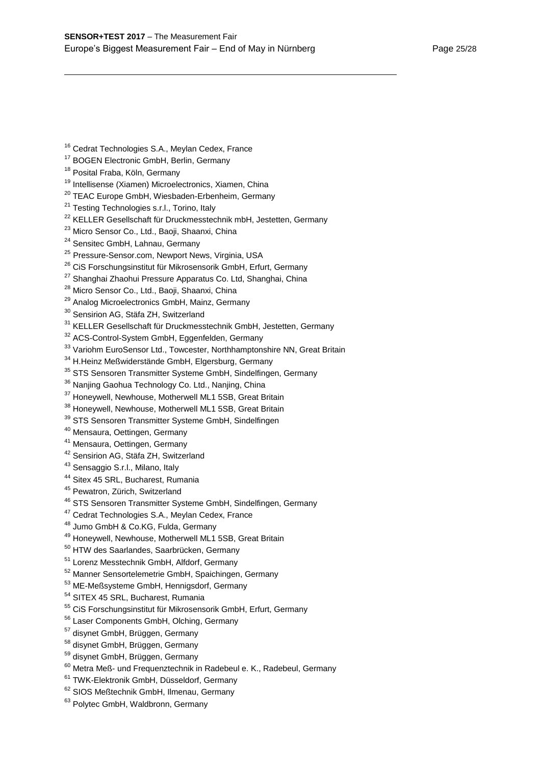- <sup>16</sup> Cedrat Technologies S.A., Meylan Cedex, France
- <sup>17</sup> BOGEN Electronic GmbH, Berlin, Germany
- <sup>18</sup> Posital Fraba, Köln, Germany

- <sup>19</sup> Intellisense (Xiamen) Microelectronics, Xiamen, China
- <sup>20</sup> TEAC Europe GmbH, Wiesbaden-Erbenheim, Germany
- <sup>21</sup> Testing Technologies s.r.l., Torino, Italy
- <sup>22</sup> KELLER Gesellschaft für Druckmesstechnik mbH, Jestetten, Germany
- <sup>23</sup> Micro Sensor Co., Ltd., Baoji, Shaanxi, China
- <sup>24</sup> Sensitec GmbH, Lahnau, Germany
- <sup>25</sup> Pressure-Sensor.com, Newport News, Virginia, USA
- <sup>26</sup> CiS Forschungsinstitut für Mikrosensorik GmbH, Erfurt, Germany
- <sup>27</sup> Shanghai Zhaohui Pressure Apparatus Co. Ltd, Shanghai, China
- <sup>28</sup> Micro Sensor Co., Ltd., Baoji, Shaanxi, China
- <sup>29</sup> Analog Microelectronics GmbH, Mainz, Germany
- <sup>30</sup> Sensirion AG, Stäfa ZH, Switzerland
- <sup>31</sup> KELLER Gesellschaft für Druckmesstechnik GmbH, Jestetten, Germanv
- <sup>32</sup> ACS-Control-System GmbH, Eggenfelden, Germany
- <sup>33</sup> Variohm EuroSensor Ltd., Towcester, Northhamptonshire NN, Great Britain
- <sup>34</sup> H.Heinz Meßwiderstände GmbH, Elgersburg, Germany
- <sup>35</sup> STS Sensoren Transmitter Systeme GmbH, Sindelfingen, Germany
- <sup>36</sup> Nanjing Gaohua Technology Co. Ltd., Nanjing, China
- <sup>37</sup> Honeywell, Newhouse, Motherwell ML1 5SB, Great Britain
- <sup>38</sup> Honeywell, Newhouse, Motherwell ML1 5SB, Great Britain
- <sup>39</sup> STS Sensoren Transmitter Systeme GmbH, Sindelfingen
- <sup>40</sup> Mensaura, Oettingen, Germany
- <sup>41</sup> Mensaura, Oettingen, Germany
- <sup>42</sup> Sensirion AG, Stäfa ZH, Switzerland
- <sup>43</sup> Sensaggio S.r.l., Milano, Italy
- <sup>44</sup> Sitex 45 SRL, Bucharest, Rumania
- <sup>45</sup> Pewatron, Zürich, Switzerland
- <sup>46</sup> STS Sensoren Transmitter Systeme GmbH, Sindelfingen, Germany
- <sup>47</sup> Cedrat Technologies S.A., Meylan Cedex, France
- <sup>48</sup> Jumo GmbH & Co.KG, Fulda, Germany
- <sup>49</sup> Honeywell, Newhouse, Motherwell ML1 5SB, Great Britain
- <sup>50</sup> HTW des Saarlandes, Saarbrücken, Germany
- <sup>51</sup> Lorenz Messtechnik GmbH, Alfdorf, Germany
- <sup>52</sup> Manner Sensortelemetrie GmbH, Spaichingen, Germany
- <sup>53</sup> ME-Meßsysteme GmbH, Hennigsdorf, Germany
- <sup>54</sup> SITEX 45 SRL, Bucharest, Rumania
- <sup>55</sup> CiS Forschungsinstitut für Mikrosensorik GmbH, Erfurt, Germany
- <sup>56</sup> Laser Components GmbH, Olching, Germany
- <sup>57</sup> disynet GmbH, Brüggen, Germany
- <sup>58</sup> disynet GmbH, Brüggen, Germany
- <sup>59</sup> disynet GmbH, Brüggen, Germany
- <sup>60</sup> Metra Meß- und Frequenztechnik in Radebeul e. K., Radebeul, Germany
- <sup>61</sup> TWK-Elektronik GmbH, Düsseldorf, Germany
- <sup>62</sup> SIOS Meßtechnik GmbH, Ilmenau, Germany
- <sup>63</sup> Polytec GmbH, Waldbronn, Germany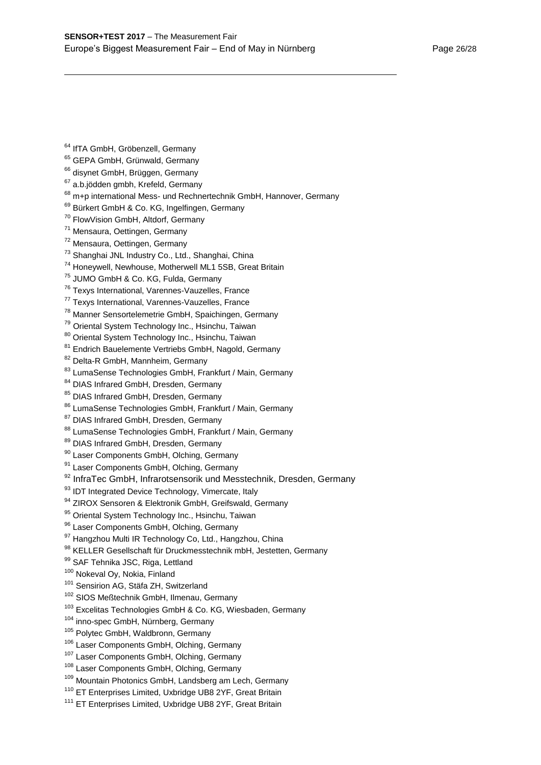|  |  |  | <sup>64</sup> IfTA GmbH, Gröbenzell, Germany |  |
|--|--|--|----------------------------------------------|--|
|--|--|--|----------------------------------------------|--|

- <sup>65</sup> GEPA GmbH, Grünwald, Germany
- <sup>66</sup> disynet GmbH, Brüggen, Germany
- $67$  a.b.jödden gmbh, Krefeld, Germany
- <sup>68</sup> m+p international Mess- und Rechnertechnik GmbH, Hannover, Germany
- 69 Bürkert GmbH & Co. KG, Ingelfingen, Germany
- <sup>70</sup> FlowVision GmbH, Altdorf, Germany
- <sup>71</sup> Mensaura, Oettingen, Germany
- <sup>72</sup> Mensaura, Oettingen, Germany
- <sup>73</sup> Shanghai JNL Industry Co., Ltd., Shanghai, China
- <sup>74</sup> Honeywell, Newhouse, Motherwell ML1 5SB, Great Britain
- <sup>75</sup> JUMO GmbH & Co. KG, Fulda, Germany
- <sup>76</sup> Texys International, Varennes-Vauzelles, France
- <sup>77</sup> Texys International, Varennes-Vauzelles, France
- <sup>78</sup> Manner Sensortelemetrie GmbH, Spaichingen, Germany
- <sup>79</sup> Oriental System Technology Inc., Hsinchu, Taiwan
- 80 Oriental System Technology Inc., Hsinchu, Taiwan
- <sup>81</sup> Endrich Bauelemente Vertriebs GmbH, Nagold, Germany
- 82 Delta-R GmbH, Mannheim, Germany
- 83 LumaSense Technologies GmbH, Frankfurt / Main, Germany
- 84 DIAS Infrared GmbH, Dresden, Germany
- 85 DIAS Infrared GmbH, Dresden, Germany
- 86 LumaSense Technologies GmbH, Frankfurt / Main, Germany
- 87 DIAS Infrared GmbH, Dresden, Germany
- 88 LumaSense Technologies GmbH, Frankfurt / Main, Germany
- 89 DIAS Infrared GmbH, Dresden, Germany
- 90 Laser Components GmbH, Olching, Germany
- <sup>91</sup> Laser Components GmbH, Olching, Germany
- 92 InfraTec GmbH, Infrarotsensorik und Messtechnik, Dresden, Germanv
- <sup>93</sup> IDT Integrated Device Technology, Vimercate, Italy
- 94 ZIROX Sensoren & Elektronik GmbH, Greifswald, Germany
- 95 Oriental System Technology Inc., Hsinchu, Taiwan
- 96 Laser Components GmbH, Olching, Germany
- 97 Hangzhou Multi IR Technology Co, Ltd., Hangzhou, China
- 98 KELLER Gesellschaft für Druckmesstechnik mbH, Jestetten, Germany
- 99 SAF Tehnika JSC, Riga, Lettland
- <sup>100</sup> Nokeval Ov, Nokia, Finland
- <sup>101</sup> Sensirion AG, Stäfa ZH, Switzerland
- <sup>102</sup> SIOS Meßtechnik GmbH, Ilmenau, Germany
- <sup>103</sup> Excelitas Technologies GmbH & Co. KG, Wiesbaden, Germany
- <sup>104</sup> inno-spec GmbH, Nürnberg, Germany
- <sup>105</sup> Polytec GmbH, Waldbronn, Germany
- <sup>106</sup> Laser Components GmbH, Olching, Germany
- <sup>107</sup> Laser Components GmbH, Olching, Germany
- <sup>108</sup> Laser Components GmbH, Olching, Germany
- <sup>109</sup> Mountain Photonics GmbH, Landsberg am Lech, Germany
- <sup>110</sup> ET Enterprises Limited, Uxbridge UB8 2YF, Great Britain
- <sup>111</sup> ET Enterprises Limited, Uxbridge UB8 2YF, Great Britain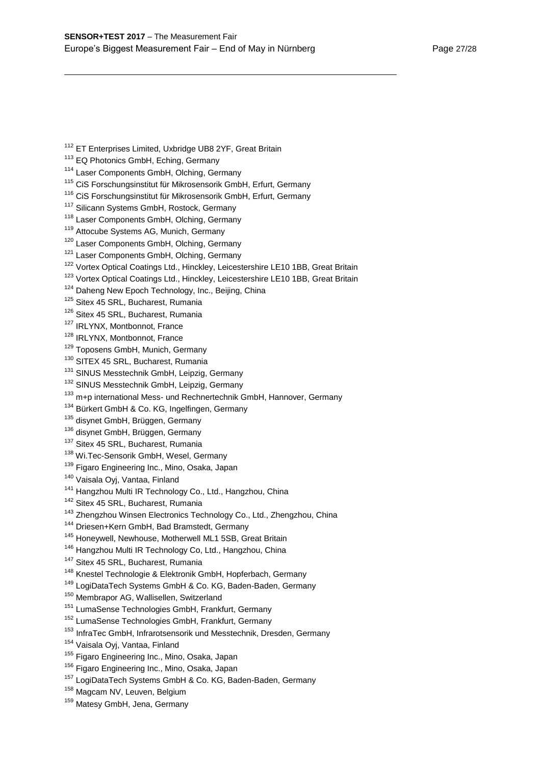- <sup>112</sup> ET Enterprises Limited, Uxbridge UB8 2YF, Great Britain
- <sup>113</sup> EQ Photonics GmbH, Eching, Germany

- <sup>114</sup> Laser Components GmbH, Olching, Germany
- <sup>115</sup> CiS Forschungsinstitut für Mikrosensorik GmbH, Erfurt, Germany
- <sup>116</sup> CiS Forschungsinstitut für Mikrosensorik GmbH, Erfurt, Germany
- <sup>117</sup> Silicann Systems GmbH, Rostock, Germany
- <sup>118</sup> Laser Components GmbH, Olching, Germany
- <sup>119</sup> Attocube Systems AG, Munich, Germany
- <sup>120</sup> Laser Components GmbH, Olching, Germany
- <sup>121</sup> Laser Components GmbH, Olching, Germany
- <sup>122</sup> Vortex Optical Coatings Ltd., Hinckley, Leicestershire LE10 1BB, Great Britain
- <sup>123</sup> Vortex Optical Coatings Ltd., Hinckley, Leicestershire LE10 1BB, Great Britain
- <sup>124</sup> Daheng New Epoch Technology, Inc., Beijing, China
- <sup>125</sup> Sitex 45 SRL, Bucharest, Rumania
- <sup>126</sup> Sitex 45 SRL, Bucharest, Rumania
- <sup>127</sup> IRLYNX, Montbonnot, France
- <sup>128</sup> IRLYNX, Montbonnot, France
- <sup>129</sup> Toposens GmbH, Munich, Germany
- <sup>130</sup> SITEX 45 SRL, Bucharest, Rumania
- <sup>131</sup> SINUS Messtechnik GmbH, Leipzig, Germany
- <sup>132</sup> SINUS Messtechnik GmbH, Leipzig, Germany
- 133 m+p international Mess- und Rechnertechnik GmbH, Hannover, Germany
- <sup>134</sup> Bürkert GmbH & Co. KG, Ingelfingen, Germany
- <sup>135</sup> disynet GmbH, Brüggen, Germany
- <sup>136</sup> disynet GmbH, Brüggen, Germany
- <sup>137</sup> Sitex 45 SRL, Bucharest, Rumania
- 138 Wi.Tec-Sensorik GmbH, Wesel, Germany
- <sup>139</sup> Figaro Engineering Inc., Mino, Osaka, Japan
- <sup>140</sup> Vaisala Oyj, Vantaa, Finland
- <sup>141</sup> Hangzhou Multi IR Technology Co., Ltd., Hangzhou, China
- <sup>142</sup> Sitex 45 SRL, Bucharest, Rumania
- <sup>143</sup> Zhengzhou Winsen Electronics Technology Co., Ltd., Zhengzhou, China
- <sup>144</sup> Driesen+Kern GmbH, Bad Bramstedt, Germany
- <sup>145</sup> Honeywell, Newhouse, Motherwell ML1 5SB, Great Britain
- <sup>146</sup> Hangzhou Multi IR Technology Co, Ltd., Hangzhou, China
- <sup>147</sup> Sitex 45 SRL, Bucharest, Rumania
- <sup>148</sup> Knestel Technologie & Elektronik GmbH, Hopferbach, Germany
- <sup>149</sup> LogiDataTech Systems GmbH & Co. KG, Baden-Baden, Germany
- <sup>150</sup> Membrapor AG, Wallisellen, Switzerland
- <sup>151</sup> LumaSense Technologies GmbH, Frankfurt, Germany
- <sup>152</sup> LumaSense Technologies GmbH, Frankfurt, Germany
- <sup>153</sup> InfraTec GmbH, Infrarotsensorik und Messtechnik, Dresden, Germany
- <sup>154</sup> Vaisala Oyj, Vantaa, Finland
- <sup>155</sup> Figaro Engineering Inc., Mino, Osaka, Japan
- <sup>156</sup> Figaro Engineering Inc., Mino, Osaka, Japan
- <sup>157</sup> LogiDataTech Systems GmbH & Co. KG, Baden-Baden, Germany
- <sup>158</sup> Magcam NV, Leuven, Belgium
- 159 Matesy GmbH, Jena, Germany